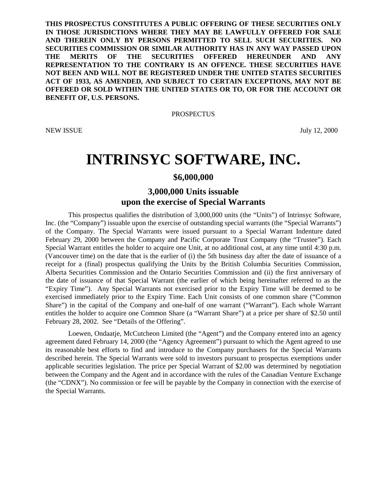**THIS PROSPECTUS CONSTITUTES A PUBLIC OFFERING OF THESE SECURITIES ONLY IN THOSE JURISDICTIONS WHERE THEY MAY BE LAWFULLY OFFERED FOR SALE AND THEREIN ONLY BY PERSONS PERMITTED TO SELL SUCH SECURITIES. NO SECURITIES COMMISSION OR SIMILAR AUTHORITY HAS IN ANY WAY PASSED UPON THE MERITS OF THE SECURITIES OFFERED HEREUNDER AND ANY REPRESENTATION TO THE CONTRARY IS AN OFFENCE. THESE SECURITIES HAVE NOT BEEN AND WILL NOT BE REGISTERED UNDER THE UNITED STATES SECURITIES ACT OF 1933, AS AMENDED, AND SUBJECT TO CERTAIN EXCEPTIONS, MAY NOT BE OFFERED OR SOLD WITHIN THE UNITED STATES OR TO, OR FOR THE ACCOUNT OR BENEFIT OF, U.S. PERSONS.**

**PROSPECTUS** 

NEW ISSUE July 12, 2000

# **INTRINSYC SOFTWARE, INC.**

# **\$6,000,000**

# **3,000,000 Units issuable upon the exercise of Special Warrants**

This prospectus qualifies the distribution of 3,000,000 units (the "Units") of Intrinsyc Software, Inc. (the "Company") issuable upon the exercise of outstanding special warrants (the "Special Warrants") of the Company. The Special Warrants were issued pursuant to a Special Warrant Indenture dated February 29, 2000 between the Company and Pacific Corporate Trust Company (the "Trustee"). Each Special Warrant entitles the holder to acquire one Unit, at no additional cost, at any time until 4:30 p.m. (Vancouver time) on the date that is the earlier of (i) the 5th business day after the date of issuance of a receipt for a (final) prospectus qualifying the Units by the British Columbia Securities Commission, Alberta Securities Commission and the Ontario Securities Commission and (ii) the first anniversary of the date of issuance of that Special Warrant (the earlier of which being hereinafter referred to as the "Expiry Time"). Any Special Warrants not exercised prior to the Expiry Time will be deemed to be exercised immediately prior to the Expiry Time. Each Unit consists of one common share ("Common Share") in the capital of the Company and one-half of one warrant ("Warrant"). Each whole Warrant entitles the holder to acquire one Common Share (a "Warrant Share") at a price per share of \$2.50 until February 28, 2002. See "Details of the Offering".

Loewen, Ondaatje, McCutcheon Limited (the "Agent") and the Company entered into an agency agreement dated February 14, 2000 (the "Agency Agreement") pursuant to which the Agent agreed to use its reasonable best efforts to find and introduce to the Company purchasers for the Special Warrants described herein. The Special Warrants were sold to investors pursuant to prospectus exemptions under applicable securities legislation. The price per Special Warrant of \$2.00 was determined by negotiation between the Company and the Agent and in accordance with the rules of the Canadian Venture Exchange (the "CDNX"). No commission or fee will be payable by the Company in connection with the exercise of the Special Warrants.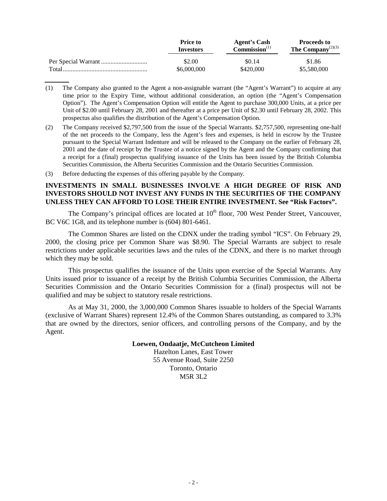|        | <b>Price to</b><br><b>Investors</b> | <b>Agent's Cash</b><br>Commission <sup>(1)</sup> | <b>Proceeds to</b><br>The Company <sup><math>(2)(3)</math></sup> |
|--------|-------------------------------------|--------------------------------------------------|------------------------------------------------------------------|
|        | \$2.00                              | \$0.14                                           | \$1.86                                                           |
| Total. | \$6,000,000                         | \$420,000                                        | \$5,580,000                                                      |

- (1) The Company also granted to the Agent a non-assignable warrant (the "Agent's Warrant") to acquire at any time prior to the Expiry Time, without additional consideration, an option (the "Agent's Compensation Option"). The Agent's Compensation Option will entitle the Agent to purchase 300,000 Units, at a price per Unit of \$2.00 until February 28, 2001 and thereafter at a price per Unit of \$2.30 until February 28, 2002. This prospectus also qualifies the distribution of the Agent's Compensation Option.
- (2) The Company received \$2,797,500 from the issue of the Special Warrants. \$2,757,500, representing one-half of the net proceeds to the Company, less the Agent's fees and expenses, is held in escrow by the Trustee pursuant to the Special Warrant Indenture and will be released to the Company on the earlier of February 28, 2001 and the date of receipt by the Trustee of a notice signed by the Agent and the Company confirming that a receipt for a (final) prospectus qualifying issuance of the Units has been issued by the British Columbia Securities Commission, the Alberta Securities Commission and the Ontario Securities Commission.
- (3) Before deducting the expenses of this offering payable by the Company.

# **INVESTMENTS IN SMALL BUSINESSES INVOLVE A HIGH DEGREE OF RISK AND INVESTORS SHOULD NOT INVEST ANY FUNDS IN THE SECURITIES OF THE COMPANY UNLESS THEY CAN AFFORD TO LOSE THEIR ENTIRE INVESTMENT. See "Risk Factors".**

The Company's principal offices are located at  $10<sup>th</sup>$  floor, 700 West Pender Street, Vancouver, BC V6C 1G8, and its telephone number is (604) 801-6461.

The Common Shares are listed on the CDNX under the trading symbol "ICS". On February 29, 2000, the closing price per Common Share was \$8.90. The Special Warrants are subject to resale restrictions under applicable securities laws and the rules of the CDNX, and there is no market through which they may be sold.

This prospectus qualifies the issuance of the Units upon exercise of the Special Warrants. Any Units issued prior to issuance of a receipt by the British Columbia Securities Commission, the Alberta Securities Commission and the Ontario Securities Commission for a (final) prospectus will not be qualified and may be subject to statutory resale restrictions.

As at May 31, 2000, the 3,000,000 Common Shares issuable to holders of the Special Warrants (exclusive of Warrant Shares) represent 12.4% of the Common Shares outstanding, as compared to 3.3% that are owned by the directors, senior officers, and controlling persons of the Company, and by the Agent.

#### **Loewen, Ondaatje, McCutcheon Limited**

Hazelton Lanes, East Tower 55 Avenue Road, Suite 2250 Toronto, Ontario M5R 3L2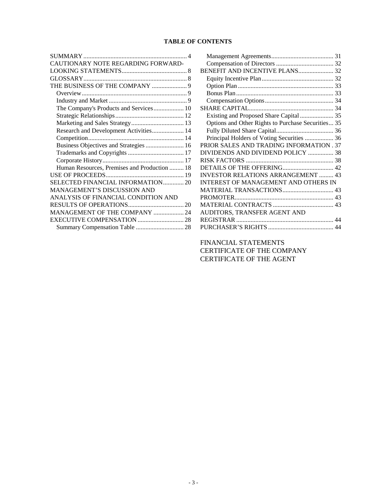# **TABLE OF CONTENTS**

| CAUTIONARY NOTE REGARDING FORWARD-           |
|----------------------------------------------|
|                                              |
|                                              |
|                                              |
|                                              |
|                                              |
| The Company's Products and Services 10       |
|                                              |
|                                              |
| Research and Development Activities 14       |
|                                              |
| Business Objectives and Strategies  16       |
|                                              |
|                                              |
| Human Resources, Premises and Production  18 |
|                                              |
| SELECTED FINANCIAL INFORMATION 20            |
| <b>MANAGEMENT'S DISCUSSION AND</b>           |
| ANALYSIS OF FINANCIAL CONDITION AND          |
|                                              |
| MANAGEMENT OF THE COMPANY  24                |
|                                              |
|                                              |

| BENEFIT AND INCENTIVE PLANS 32                     |  |
|----------------------------------------------------|--|
|                                                    |  |
|                                                    |  |
|                                                    |  |
|                                                    |  |
|                                                    |  |
| Existing and Proposed Share Capital  35            |  |
| Options and Other Rights to Purchase Securities 35 |  |
|                                                    |  |
| Principal Holders of Voting Securities  36         |  |
| PRIOR SALES AND TRADING INFORMATION . 37           |  |
| DIVIDENDS AND DIVIDEND POLICY  38                  |  |
|                                                    |  |
|                                                    |  |
| <b>INVESTOR RELATIONS ARRANGEMENT  43</b>          |  |
| <b>INTEREST OF MANAGEMENT AND OTHERS IN</b>        |  |
|                                                    |  |
|                                                    |  |
|                                                    |  |
| AUDITORS, TRANSFER AGENT AND                       |  |
|                                                    |  |
|                                                    |  |
|                                                    |  |

[FINANCIAL STATEMENTS](#page-43-0) CERTIFICATE OF THE COMPANY CERTIFICATE OF THE AGENT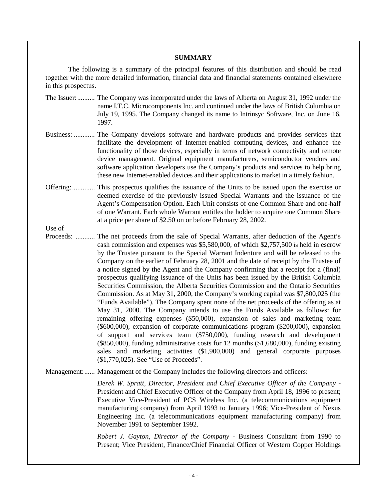#### **SUMMARY**

<span id="page-3-0"></span>The following is a summary of the principal features of this distribution and should be read together with the more detailed information, financial data and financial statements contained elsewhere in this prospectus.

- The Issuer:.......... The Company was incorporated under the laws of Alberta on August 31, 1992 under the name I.T.C. Microcomponents Inc. and continued under the laws of British Columbia on July 19, 1995. The Company changed its name to Intrinsyc Software, Inc. on June 16, 1997.
- Business: ............ The Company develops software and hardware products and provides services that facilitate the development of Internet-enabled computing devices, and enhance the functionality of those devices, especially in terms of network connectivity and remote device management. Original equipment manufacturers, semiconductor vendors and software application developers use the Company's products and services to help bring these new Internet-enabled devices and their applications to market in a timely fashion.
- Offering:............. This prospectus qualifies the issuance of the Units to be issued upon the exercise or deemed exercise of the previously issued Special Warrants and the issuance of the Agent's Compensation Option. Each Unit consists of one Common Share and one-half of one Warrant. Each whole Warrant entitles the holder to acquire one Common Share at a price per share of \$2.50 on or before February 28, 2002.

Use of

Proceeds: ........... The net proceeds from the sale of Special Warrants, after deduction of the Agent's cash commission and expenses was \$5,580,000, of which \$2,757,500 is held in escrow by the Trustee pursuant to the Special Warrant Indenture and will be released to the Company on the earlier of February 28, 2001 and the date of receipt by the Trustee of a notice signed by the Agent and the Company confirming that a receipt for a (final) prospectus qualifying issuance of the Units has been issued by the British Columbia Securities Commission, the Alberta Securities Commission and the Ontario Securities Commission. As at May 31, 2000, the Company's working capital was \$7,800,025 (the "Funds Available"). The Company spent none of the net proceeds of the offering as at May 31, 2000. The Company intends to use the Funds Available as follows: for remaining offering expenses (\$50,000), expansion of sales and marketing team (\$600,000), expansion of corporate communications program (\$200,000), expansion of support and services team (\$750,000), funding research and development (\$850,000), funding administrative costs for 12 months (\$1,680,000), funding existing sales and marketing activities (\$1,900,000) and general corporate purposes (\$1,770,025). See "Use of Proceeds".

Management:...... Management of the Company includes the following directors and officers:

*Derek W. Spratt, Director, President and Chief Executive Officer of the Company* - President and Chief Executive Officer of the Company from April 18, 1996 to present; Executive Vice-President of PCS Wireless Inc. (a telecommunications equipment manufacturing company) from April 1993 to January 1996; Vice-President of Nexus Engineering Inc. (a telecommunications equipment manufacturing company) from November 1991 to September 1992.

*Robert J. Gayton, Director of the Company -* Business Consultant from 1990 to Present; Vice President, Finance/Chief Financial Officer of Western Copper Holdings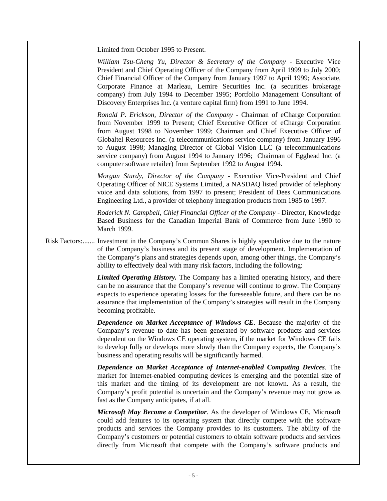Limited from October 1995 to Present.

*William Tsu-Cheng Yu, Director & Secretary of the Company* - Executive Vice President and Chief Operating Officer of the Company from April 1999 to July 2000; Chief Financial Officer of the Company from January 1997 to April 1999; Associate, Corporate Finance at Marleau, Lemire Securities Inc. (a securities brokerage company) from July 1994 to December 1995; Portfolio Management Consultant of Discovery Enterprises Inc. (a venture capital firm) from 1991 to June 1994.

*Ronald P. Erickson, Director of the Company* - Chairman of eCharge Corporation from November 1999 to Present; Chief Executive Officer of eCharge Corporation from August 1998 to November 1999; Chairman and Chief Executive Officer of Globaltel Resources Inc. (a telecommunications service company) from January 1996 to August 1998; Managing Director of Global Vision LLC (a telecommunications service company) from August 1994 to January 1996; Chairman of Egghead Inc. (a computer software retailer) from September 1992 to August 1994.

*Morgan Sturdy, Director of the Company* - Executive Vice-President and Chief Operating Officer of NICE Systems Limited, a NASDAQ listed provider of telephony voice and data solutions, from 1997 to present; President of Dees Communications Engineering Ltd., a provider of telephony integration products from 1985 to 1997.

*Roderick N. Campbell, Chief Financial Officer of the Company* - Director, Knowledge Based Business for the Canadian Imperial Bank of Commerce from June 1990 to March 1999.

Risk Factors:....... Investment in the Company's Common Shares is highly speculative due to the nature of the Company's business and its present stage of development. Implementation of the Company's plans and strategies depends upon, among other things, the Company's ability to effectively deal with many risk factors, including the following:

> *Limited Operating History.* The Company has a limited operating history, and there can be no assurance that the Company's revenue will continue to grow. The Company expects to experience operating losses for the foreseeable future, and there can be no assurance that implementation of the Company's strategies will result in the Company becoming profitable.

> *Dependence on Market Acceptance of Windows CE*. Because the majority of the Company's revenue to date has been generated by software products and services dependent on the Windows CE operating system, if the market for Windows CE fails to develop fully or develops more slowly than the Company expects, the Company's business and operating results will be significantly harmed.

> *Dependence on Market Acceptance of Internet-enabled Computing Devices*. The market for Internet-enabled computing devices is emerging and the potential size of this market and the timing of its development are not known. As a result, the Company's profit potential is uncertain and the Company's revenue may not grow as fast as the Company anticipates, if at all.

> *Microsoft May Become a Competitor*. As the developer of Windows CE, Microsoft could add features to its operating system that directly compete with the software products and services the Company provides to its customers. The ability of the Company's customers or potential customers to obtain software products and services directly from Microsoft that compete with the Company's software products and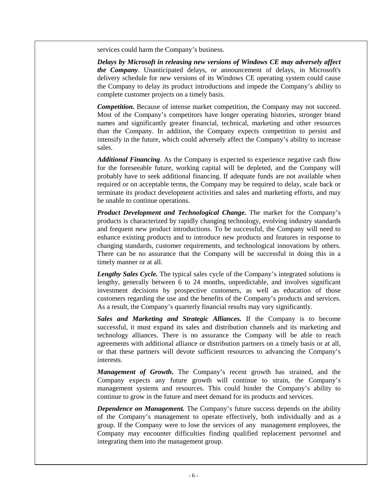services could harm the Company's business.

*Delays by Microsoft in releasing new versions of Windows CE may adversely affect the Company*. Unanticipated delays, or announcement of delays, in Microsoft's delivery schedule for new versions of its Windows CE operating system could cause the Company to delay its product introductions and impede the Company's ability to complete customer projects on a timely basis.

*Competition.* Because of intense market competition, the Company may not succeed. Most of the Company's competitors have longer operating histories, stronger brand names and significantly greater financial, technical, marketing and other resources than the Company. In addition, the Company expects competition to persist and intensify in the future, which could adversely affect the Company's ability to increase sales.

*Additional Financing*. As the Company is expected to experience negative cash flow for the foreseeable future, working capital will be depleted, and the Company will probably have to seek additional financing. If adequate funds are not available when required or on acceptable terms, the Company may be required to delay, scale back or terminate its product development activities and sales and marketing efforts, and may be unable to continue operations.

*Product Development and Technological Change.* The market for the Company's products is characterized by rapidly changing technology, evolving industry standards and frequent new product introductions. To be successful, the Company will need to enhance existing products and to introduce new products and features in response to changing standards, customer requirements, and technological innovations by others. There can be no assurance that the Company will be successful in doing this in a timely manner or at all.

*Lengthy Sales Cycle.* The typical sales cycle of the Company's integrated solutions is lengthy, generally between 6 to 24 months, unpredictable, and involves significant investment decisions by prospective customers, as well as education of those customers regarding the use and the benefits of the Company's products and services. As a result, the Company's quarterly financial results may vary significantly.

*Sales and Marketing and Strategic Alliances.* If the Company is to become successful, it must expand its sales and distribution channels and its marketing and technology alliances. There is no assurance the Company will be able to reach agreements with additional alliance or distribution partners on a timely basis or at all, or that these partners will devote sufficient resources to advancing the Company's interests.

*Management of Growth***.** The Company's recent growth has strained, and the Company expects any future growth will continue to strain, the Company's management systems and resources. This could hinder the Company's ability to continue to grow in the future and meet demand for its products and services.

*Dependence on Management.* The Company's future success depends on the ability of the Company's management to operate effectively, both individually and as a group. If the Company were to lose the services of any management employees, the Company may encounter difficulties finding qualified replacement personnel and integrating them into the management group.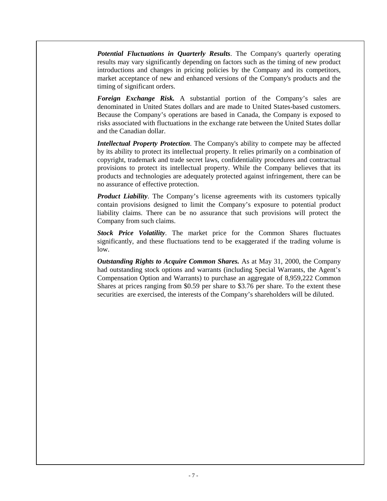*Potential Fluctuations in Quarterly Results*. The Company's quarterly operating results may vary significantly depending on factors such as the timing of new product introductions and changes in pricing policies by the Company and its competitors, market acceptance of new and enhanced versions of the Company's products and the timing of significant orders.

*Foreign Exchange Risk.* A substantial portion of the Company's sales are denominated in United States dollars and are made to United States-based customers. Because the Company's operations are based in Canada, the Company is exposed to risks associated with fluctuations in the exchange rate between the United States dollar and the Canadian dollar.

*Intellectual Property Protection*. The Company's ability to compete may be affected by its ability to protect its intellectual property. It relies primarily on a combination of copyright, trademark and trade secret laws, confidentiality procedures and contractual provisions to protect its intellectual property. While the Company believes that its products and technologies are adequately protected against infringement, there can be no assurance of effective protection.

*Product Liability*. The Company's license agreements with its customers typically contain provisions designed to limit the Company's exposure to potential product liability claims. There can be no assurance that such provisions will protect the Company from such claims.

*Stock Price Volatility*. The market price for the Common Shares fluctuates significantly, and these fluctuations tend to be exaggerated if the trading volume is low.

*Outstanding Rights to Acquire Common Shares.* As at May 31, 2000, the Company had outstanding stock options and warrants (including Special Warrants, the Agent's Compensation Option and Warrants) to purchase an aggregate of 8,959,222 Common Shares at prices ranging from \$0.59 per share to \$3.76 per share. To the extent these securities are exercised, the interests of the Company's shareholders will be diluted.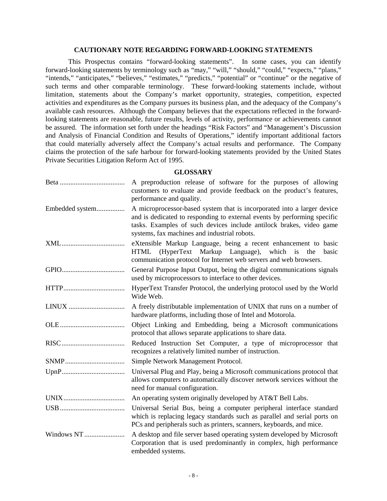#### **CAUTIONARY NOTE REGARDING FORWARD-LOOKING STATEMENTS**

<span id="page-7-0"></span>This Prospectus contains "forward-looking statements". In some cases, you can identify forward-looking statements by terminology such as "may," "will," "should," "could," "expects," "plans," "intends," "anticipates," "believes," "estimates," "predicts," "potential" or "continue" or the negative of such terms and other comparable terminology. These forward-looking statements include, without limitation, statements about the Company's market opportunity, strategies, competition, expected activities and expenditures as the Company pursues its business plan, and the adequacy of the Company's available cash resources. Although the Company believes that the expectations reflected in the forwardlooking statements are reasonable, future results, levels of activity, performance or achievements cannot be assured. The information set forth under the headings "Risk Factors" and "Management's Discussion and Analysis of Financial Condition and Results of Operations," identify important additional factors that could materially adversely affect the Company's actual results and performance. The Company claims the protection of the safe harbour for forward-looking statements provided by the United States Private Securities Litigation Reform Act of 1995.

**GLOSSARY**

|                 | A preproduction release of software for the purposes of allowing<br>customers to evaluate and provide feedback on the product's features,<br>performance and quality.                                                                                                      |
|-----------------|----------------------------------------------------------------------------------------------------------------------------------------------------------------------------------------------------------------------------------------------------------------------------|
| Embedded system | A microprocessor-based system that is incorporated into a larger device<br>and is dedicated to responding to external events by performing specific<br>tasks. Examples of such devices include antilock brakes, video game<br>systems, fax machines and industrial robots. |
| XML             | eXtensible Markup Language, being a recent enhancement to basic<br>(HyperText Markup Language), which is<br><b>HTML</b><br>the<br>basic<br>communication protocol for Internet web servers and web browsers.                                                               |
|                 | General Purpose Input Output, being the digital communications signals<br>used by microprocessors to interface to other devices.                                                                                                                                           |
|                 | HyperText Transfer Protocol, the underlying protocol used by the World<br>Wide Web.                                                                                                                                                                                        |
| LINUX           | A freely distributable implementation of UNIX that runs on a number of<br>hardware platforms, including those of Intel and Motorola.                                                                                                                                       |
|                 | Object Linking and Embedding, being a Microsoft communications<br>protocol that allows separate applications to share data.                                                                                                                                                |
|                 | Reduced Instruction Set Computer, a type of microprocessor that<br>recognizes a relatively limited number of instruction.                                                                                                                                                  |
|                 | Simple Network Management Protocol.                                                                                                                                                                                                                                        |
|                 | Universal Plug and Play, being a Microsoft communications protocol that<br>allows computers to automatically discover network services without the<br>need for manual configuration.                                                                                       |
|                 | An operating system originally developed by AT&T Bell Labs.                                                                                                                                                                                                                |
|                 | Universal Serial Bus, being a computer peripheral interface standard<br>which is replacing legacy standards such as parallel and serial ports on<br>PCs and peripherals such as printers, scanners, keyboards, and mice.                                                   |
| Windows NT      | A desktop and file server based operating system developed by Microsoft<br>Corporation that is used predominantly in complex, high performance<br>embedded systems.                                                                                                        |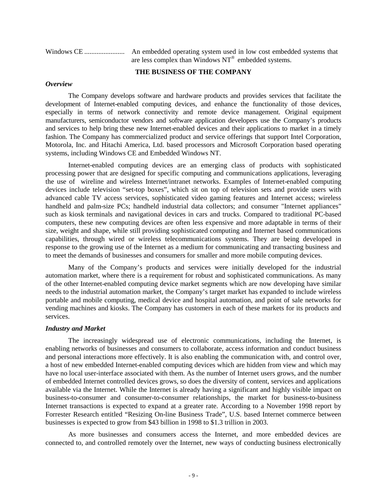<span id="page-8-0"></span>

| are less complex than Windows $NT^{\circledast}$ embedded systems. |
|--------------------------------------------------------------------|

#### **THE BUSINESS OF THE COMPANY**

#### *Overview*

The Company develops software and hardware products and provides services that facilitate the development of Internet-enabled computing devices, and enhance the functionality of those devices, especially in terms of network connectivity and remote device management. Original equipment manufacturers, semiconductor vendors and software application developers use the Company's products and services to help bring these new Internet-enabled devices and their applications to market in a timely fashion. The Company has commercialized product and service offerings that support Intel Corporation, Motorola, Inc. and Hitachi America, Ltd. based processors and Microsoft Corporation based operating systems, including Windows CE and Embedded Windows NT.

Internet-enabled computing devices are an emerging class of products with sophisticated processing power that are designed for specific computing and communications applications, leveraging the use of wireline and wireless Internet/intranet networks. Examples of Internet-enabled computing devices include television "set-top boxes", which sit on top of television sets and provide users with advanced cable TV access services, sophisticated video gaming features and Internet access; wireless handheld and palm-size PCs; handheld industrial data collectors; and consumer "Internet appliances" such as kiosk terminals and navigational devices in cars and trucks. Compared to traditional PC-based computers, these new computing devices are often less expensive and more adaptable in terms of their size, weight and shape, while still providing sophisticated computing and Internet based communications capabilities, through wired or wireless telecommunications systems. They are being developed in response to the growing use of the Internet as a medium for communicating and transacting business and to meet the demands of businesses and consumers for smaller and more mobile computing devices.

Many of the Company's products and services were initially developed for the industrial automation market, where there is a requirement for robust and sophisticated communications. As many of the other Internet-enabled computing device market segments which are now developing have similar needs to the industrial automation market, the Company's target market has expanded to include wireless portable and mobile computing, medical device and hospital automation, and point of sale networks for vending machines and kiosks. The Company has customers in each of these markets for its products and services.

#### *Industry and Market*

The increasingly widespread use of electronic communications, including the Internet, is enabling networks of businesses and consumers to collaborate, access information and conduct business and personal interactions more effectively. It is also enabling the communication with, and control over, a host of new embedded Internet-enabled computing devices which are hidden from view and which may have no local user-interface associated with them. As the number of Internet users grows, and the number of embedded Internet controlled devices grows, so does the diversity of content, services and applications available via the Internet. While the Internet is already having a significant and highly visible impact on business-to-consumer and consumer-to-consumer relationships, the market for business-to-business Internet transactions is expected to expand at a greater rate. According to a November 1998 report by Forrester Research entitled "Resizing On-line Business Trade", U.S. based Internet commerce between businesses is expected to grow from \$43 billion in 1998 to \$1.3 trillion in 2003.

As more businesses and consumers access the Internet, and more embedded devices are connected to, and controlled remotely over the Internet, new ways of conducting business electronically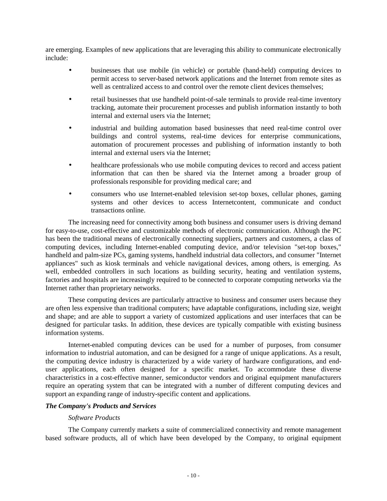<span id="page-9-0"></span>are emerging. Examples of new applications that are leveraging this ability to communicate electronically include:

- businesses that use mobile (in vehicle) or portable (hand-held) computing devices to permit access to server-based network applications and the Internet from remote sites as well as centralized access to and control over the remote client devices themselves;
- retail businesses that use handheld point-of-sale terminals to provide real-time inventory tracking, automate their procurement processes and publish information instantly to both internal and external users via the Internet;
- industrial and building automation based businesses that need real-time control over buildings and control systems, real-time devices for enterprise communications, automation of procurement processes and publishing of information instantly to both internal and external users via the Internet;
- healthcare professionals who use mobile computing devices to record and access patient information that can then be shared via the Internet among a broader group of professionals responsible for providing medical care; and
- consumers who use Internet-enabled television set-top boxes, cellular phones, gaming systems and other devices to access Internetcontent, communicate and conduct transactions online.

The increasing need for connectivity among both business and consumer users is driving demand for easy-to-use, cost-effective and customizable methods of electronic communication. Although the PC has been the traditional means of electronically connecting suppliers, partners and customers, a class of computing devices, including Internet-enabled computing device, and/or television "set-top boxes," handheld and palm-size PCs, gaming systems, handheld industrial data collectors, and consumer "Internet appliances" such as kiosk terminals and vehicle navigational devices, among others, is emerging. As well, embedded controllers in such locations as building security, heating and ventilation systems, factories and hospitals are increasingly required to be connected to corporate computing networks via the Internet rather than proprietary networks.

These computing devices are particularly attractive to business and consumer users because they are often less expensive than traditional computers; have adaptable configurations, including size, weight and shape; and are able to support a variety of customized applications and user interfaces that can be designed for particular tasks. In addition, these devices are typically compatible with existing business information systems.

Internet-enabled computing devices can be used for a number of purposes, from consumer information to industrial automation, and can be designed for a range of unique applications. As a result, the computing device industry is characterized by a wide variety of hardware configurations, and enduser applications, each often designed for a specific market. To accommodate these diverse characteristics in a cost-effective manner, semiconductor vendors and original equipment manufacturers require an operating system that can be integrated with a number of different computing devices and support an expanding range of industry-specific content and applications.

# *The Company's Products and Services*

# *Software Products*

The Company currently markets a suite of commercialized connectivity and remote management based software products, all of which have been developed by the Company, to original equipment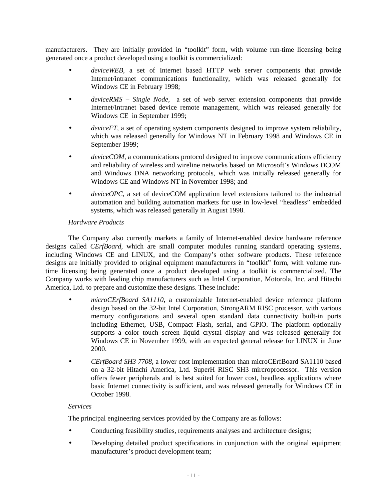manufacturers. They are initially provided in "toolkit" form, with volume run-time licensing being generated once a product developed using a toolkit is commercialized:

- deviceWEB, a set of Internet based HTTP web server components that provide Internet/intranet communications functionality, which was released generally for Windows CE in February 1998;
- *deviceRMS Single Node*, a set of web server extension components that provide Internet/Intranet based device remote management, which was released generally for Windows CE in September 1999;
- *deviceFT*, a set of operating system components designed to improve system reliability, which was released generally for Windows NT in February 1998 and Windows CE in September 1999;
- *deviceCOM*, a communications protocol designed to improve communications efficiency and reliability of wireless and wireline networks based on Microsoft's Windows DCOM and Windows DNA networking protocols, which was initially released generally for Windows CE and Windows NT in November 1998; and
- *deviceOPC*, a set of deviceCOM application level extensions tailored to the industrial automation and building automation markets for use in low-level "headless" embedded systems, which was released generally in August 1998.

# *Hardware Products*

The Company also currently markets a family of Internet-enabled device hardware reference designs called *CErfBoard*, which are small computer modules running standard operating systems, including Windows CE and LINUX, and the Company's other software products. These reference designs are initially provided to original equipment manufacturers in "toolkit" form, with volume runtime licensing being generated once a product developed using a toolkit is commercialized. The Company works with leading chip manufacturers such as Intel Corporation, Motorola, Inc. and Hitachi America, Ltd. to prepare and customize these designs. These include:

- *microCErfBoard SA1110*, a customizable Internet-enabled device reference platform design based on the 32-bit Intel Corporation, StrongARM RISC processor, with various memory configurations and several open standard data connectivity built-in ports including Ethernet, USB, Compact Flash, serial, and GPIO. The platform optionally supports a color touch screen liquid crystal display and was released generally for Windows CE in November 1999, with an expected general release for LINUX in June 2000.
- *CErfBoard SH3 7708*, a lower cost implementation than microCErfBoard SA1110 based on a 32-bit Hitachi America, Ltd. SuperH RISC SH3 mircroprocessor. This version offers fewer peripherals and is best suited for lower cost, headless applications where basic Internet connectivity is sufficient, and was released generally for Windows CE in October 1998.

# *Services*

The principal engineering services provided by the Company are as follows:

- Conducting feasibility studies, requirements analyses and architecture designs;
- Developing detailed product specifications in conjunction with the original equipment manufacturer's product development team;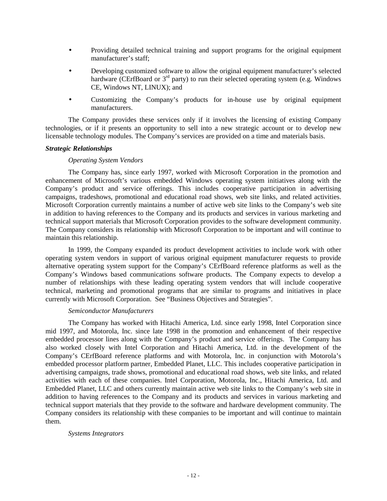- <span id="page-11-0"></span>• Providing detailed technical training and support programs for the original equipment manufacturer's staff;
- Developing customized software to allow the original equipment manufacturer's selected hardware (CErfBoard or  $3<sup>rd</sup>$  party) to run their selected operating system (e.g. Windows CE, Windows NT, LINUX); and
- Customizing the Company's products for in-house use by original equipment manufacturers.

The Company provides these services only if it involves the licensing of existing Company technologies, or if it presents an opportunity to sell into a new strategic account or to develop new licensable technology modules. The Company's services are provided on a time and materials basis.

### *Strategic Relationships*

### *Operating System Vendors*

The Company has, since early 1997, worked with Microsoft Corporation in the promotion and enhancement of Microsoft's various embedded Windows operating system initiatives along with the Company's product and service offerings. This includes cooperative participation in advertising campaigns, tradeshows, promotional and educational road shows, web site links, and related activities. Microsoft Corporation currently maintains a number of active web site links to the Company's web site in addition to having references to the Company and its products and services in various marketing and technical support materials that Microsoft Corporation provides to the software development community. The Company considers its relationship with Microsoft Corporation to be important and will continue to maintain this relationship.

In 1999, the Company expanded its product development activities to include work with other operating system vendors in support of various original equipment manufacturer requests to provide alternative operating system support for the Company's CErfBoard reference platforms as well as the Company's Windows based communications software products. The Company expects to develop a number of relationships with these leading operating system vendors that will include cooperative technical, marketing and promotional programs that are similar to programs and initiatives in place currently with Microsoft Corporation. See "Business Objectives and Strategies".

#### *Semiconductor Manufacturers*

The Company has worked with Hitachi America, Ltd. since early 1998, Intel Corporation since mid 1997, and Motorola, Inc. since late 1998 in the promotion and enhancement of their respective embedded processor lines along with the Company's product and service offerings. The Company has also worked closely with Intel Corporation and Hitachi America, Ltd. in the development of the Company's CErfBoard reference platforms and with Motorola, Inc. in conjunction with Motorola's embedded processor platform partner, Embedded Planet, LLC. This includes cooperative participation in advertising campaigns, trade shows, promotional and educational road shows, web site links, and related activities with each of these companies. Intel Corporation, Motorola, Inc., Hitachi America, Ltd. and Embedded Planet, LLC and others currently maintain active web site links to the Company's web site in addition to having references to the Company and its products and services in various marketing and technical support materials that they provide to the software and hardware development community. The Company considers its relationship with these companies to be important and will continue to maintain them.

#### *Systems Integrators*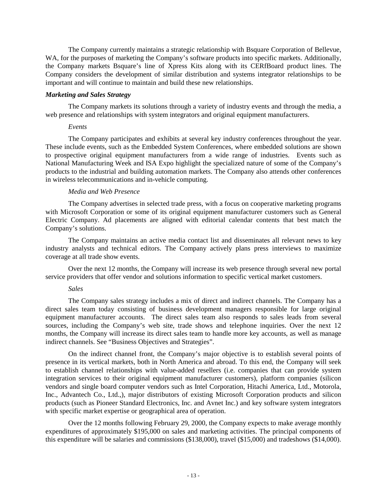<span id="page-12-0"></span>The Company currently maintains a strategic relationship with Bsquare Corporation of Bellevue, WA, for the purposes of marketing the Company's software products into specific markets. Additionally, the Company markets Bsquare's line of Xpress Kits along with its CERfBoard product lines. The Company considers the development of similar distribution and systems integrator relationships to be important and will continue to maintain and build these new relationships.

# *Marketing and Sales Strategy*

The Company markets its solutions through a variety of industry events and through the media, a web presence and relationships with system integrators and original equipment manufacturers.

### *Events*

The Company participates and exhibits at several key industry conferences throughout the year. These include events, such as the Embedded System Conferences, where embedded solutions are shown to prospective original equipment manufacturers from a wide range of industries. Events such as National Manufacturing Week and ISA Expo highlight the specialized nature of some of the Company's products to the industrial and building automation markets. The Company also attends other conferences in wireless telecommunications and in-vehicle computing.

# *Media and Web Presence*

The Company advertises in selected trade press, with a focus on cooperative marketing programs with Microsoft Corporation or some of its original equipment manufacturer customers such as General Electric Company. Ad placements are aligned with editorial calendar contents that best match the Company's solutions.

The Company maintains an active media contact list and disseminates all relevant news to key industry analysts and technical editors. The Company actively plans press interviews to maximize coverage at all trade show events.

Over the next 12 months, the Company will increase its web presence through several new portal service providers that offer vendor and solutions information to specific vertical market customers.

# *Sales*

The Company sales strategy includes a mix of direct and indirect channels. The Company has a direct sales team today consisting of business development managers responsible for large original equipment manufacturer accounts. The direct sales team also responds to sales leads from several sources, including the Company's web site, trade shows and telephone inquiries. Over the next 12 months, the Company will increase its direct sales team to handle more key accounts, as well as manage indirect channels. See "Business Objectives and Strategies".

On the indirect channel front, the Company's major objective is to establish several points of presence in its vertical markets, both in North America and abroad. To this end, the Company will seek to establish channel relationships with value-added resellers (i.e. companies that can provide system integration services to their original equipment manufacturer customers), platform companies (silicon vendors and single board computer vendors such as Intel Corporation, Hitachi America, Ltd., Motorola, Inc., Advantech Co., Ltd.,), major distributors of existing Microsoft Corporation products and silicon products (such as Pioneer Standard Electronics, Inc. and Avnet Inc.) and key software system integrators with specific market expertise or geographical area of operation.

Over the 12 months following February 29, 2000, the Company expects to make average monthly expenditures of approximately \$195,000 on sales and marketing activities. The principal components of this expenditure will be salaries and commissions (\$138,000), travel (\$15,000) and tradeshows (\$14,000).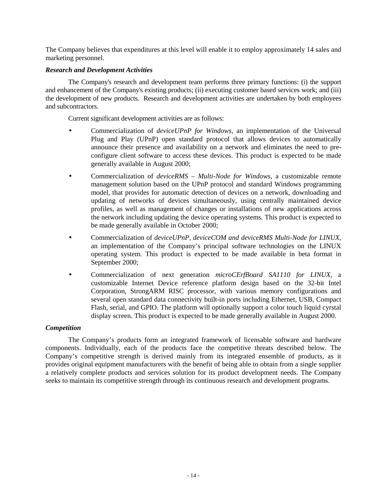<span id="page-13-0"></span>The Company believes that expenditures at this level will enable it to employ approximately 14 sales and marketing personnel.

# *Research and Development Activities*

The Company's research and development team performs three primary functions: (i) the support and enhancement of the Company's existing products; (ii) executing customer based services work; and (iii) the development of new products. Research and development activities are undertaken by both employees and subcontractors.

Current significant development activities are as follows:

- Commercialization of *deviceUPnP for Windows*, an implementation of the Universal Plug and Play (UPnP) open standard protocol that allows devices to automatically announce their presence and availability on a network and eliminates the need to preconfigure client software to access these devices. This product is expected to be made generally available in August 2000;
- Commercialization of *deviceRMS Multi-Node for Windows*, a customizable remote management solution based on the UPnP protocol and standard Windows programming model, that provides for automatic detection of devices on a network, downloading and updating of networks of devices simultaneously, using centrally maintained device profiles, as well as management of changes or installations of new applications across the network including updating the device operating systems. This product is expected to be made generally available in October 2000;
- Commercialization of *deviceUPnP, deviceCOM and deviceRMS Multi-Node for LINUX*, an implementation of the Company's principal software technologies on the LINUX operating system. This product is expected to be made available in beta format in September 2000;
- Commercialization of next generation *microCErfBoard SA1110 for LINUX*, a customizable Internet Device reference platform design based on the 32-bit Intel Corporation, StrongARM RISC processor, with various memory configurations and several open standard data connectivity built-in ports including Ethernet, USB, Compact Flash, serial, and GPIO. The platform will optionally support a color touch liquid cyrstal display screen. This product is expected to be made generally available in August 2000.

# *Competition*

The Company's products form an integrated framework of licensable software and hardware components. Individually, each of the products face the competitive threats described below. The Company's competitive strength is derived mainly from its integrated ensemble of products, as it provides original equipment manufacturers with the benefit of being able to obtain from a single supplier a relatively complete products and services solution for its product development needs. The Company seeks to maintain its competitive strength through its continuous research and development programs.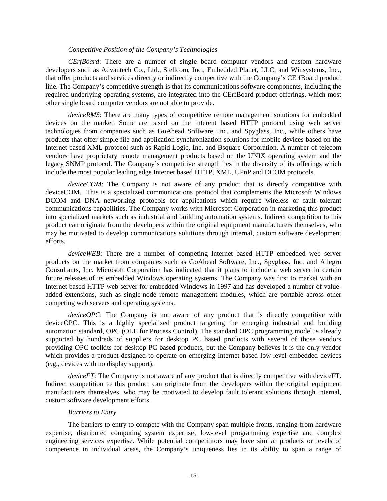#### *Competitive Position of the Company's Technologies*

*CErfBoard*: There are a number of single board computer vendors and custom hardware developers such as Advantech Co., Ltd., Stellcom, Inc., Embedded Planet, LLC, and Winsystems, Inc., that offer products and services directly or indirectly competitive with the Company's CErfBoard product line. The Company's competitive strength is that its communications software components, including the required underlying operating systems, are integrated into the CErfBoard product offerings, which most other single board computer vendors are not able to provide.

*deviceRMS*: There are many types of competitive remote management solutions for embedded devices on the market. Some are based on the interent based HTTP protocol using web server technologies from companies such as GoAhead Software, Inc. and Spyglass, Inc., while others have products that offer simple file and application synchronization solutions for mobile devices based on the Internet based XML protocol such as Rapid Logic, Inc. and Bsquare Corporation. A number of telecom vendors have proprietary remote management products based on the UNIX operating system and the legacy SNMP protocol. The Company's competitive strength lies in the diversity of its offerings which include the most popular leading edge Internet based HTTP, XML, UPnP and DCOM protocols.

*deviceCOM*: The Company is not aware of any product that is directly competitive with deviceCOM. This is a specialized communications protocol that complements the Microsoft Windows DCOM and DNA networking protocols for applications which require wireless or fault tolerant communications capabilities. The Company works with Microsoft Corporation in marketing this product into specialized markets such as industrial and building automation systems. Indirect competition to this product can originate from the developers within the original equipment manufacturers themselves, who may be motivated to develop communications solutions through internal, custom software development efforts.

*deviceWEB*: There are a number of competing Internet based HTTP embedded web server products on the market from companies such as GoAhead Software, Inc., Spyglass, Inc. and Allegro Consultants, Inc. Microsoft Corporation has indicated that it plans to include a web server in certain future releases of its embedded Windows operating systems. The Company was first to market with an Internet based HTTP web server for embedded Windows in 1997 and has developed a number of valueadded extensions, such as single-node remote management modules, which are portable across other competing web servers and operating systems.

*deviceOPC*: The Company is not aware of any product that is directly competitive with deviceOPC. This is a highly specialized product targeting the emerging industrial and building automation standard, OPC (OLE for Process Control). The standard OPC programming model is already supported by hundreds of suppliers for desktop PC based products with several of those vendors providing OPC toolkits for desktop PC based products, but the Company believes it is the only vendor which provides a product designed to operate on emerging Internet based low-level embedded devices (e.g., devices with no display support).

*deviceFT*: The Company is not aware of any product that is directly competitive with deviceFT. Indirect competition to this product can originate from the developers within the original equipment manufacturers themselves, who may be motivated to develop fault tolerant solutions through internal, custom software development efforts.

# *Barriers to Entry*

The barriers to entry to compete with the Company span multiple fronts, ranging from hardware expertise, distributed computing system expertise, low-level programming expertise and complex engineering services expertise. While potential competititors may have similar products or levels of competence in individual areas, the Company's uniqueness lies in its ability to span a range of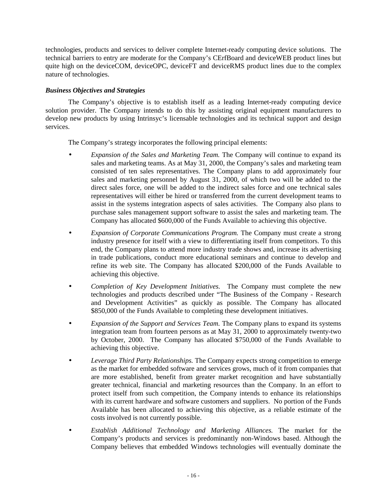<span id="page-15-0"></span>technologies, products and services to deliver complete Internet-ready computing device solutions. The technical barriers to entry are moderate for the Company's CErfBoard and deviceWEB product lines but quite high on the deviceCOM, deviceOPC, deviceFT and deviceRMS product lines due to the complex nature of technologies.

# *Business Objectives and Strategies*

The Company's objective is to establish itself as a leading Internet-ready computing device solution provider. The Company intends to do this by assisting original equipment manufacturers to develop new products by using Intrinsyc's licensable technologies and its technical support and design services.

The Company's strategy incorporates the following principal elements:

- *Expansion of the Sales and Marketing Team.* The Company will continue to expand its sales and marketing teams. As at May 31, 2000, the Company's sales and marketing team consisted of ten sales representatives. The Company plans to add approximately four sales and marketing personnel by August 31, 2000, of which two will be added to the direct sales force, one will be added to the indirect sales force and one technical sales representatives will either be hired or transferred from the current development teams to assist in the systems integration aspects of sales activities. The Company also plans to purchase sales management support software to assist the sales and marketing team. The Company has allocated \$600,000 of the Funds Available to achieving this objective.
- *Expansion of Corporate Communications Program.* The Company must create a strong industry presence for itself with a view to differentiating itself from competitors. To this end, the Company plans to attend more industry trade shows and, increase its advertising in trade publications, conduct more educational seminars and continue to develop and refine its web site. The Company has allocated \$200,000 of the Funds Available to achieving this objective.
- *Completion of Key Development Initiatives.* The Company must complete the new technologies and products described under "The Business of the Company - Research and Development Activities" as quickly as possible. The Company has allocated \$850,000 of the Funds Available to completing these development initiatives.
- *Expansion of the Support and Services Team.* The Company plans to expand its systems integration team from fourteen persons as at May 31, 2000 to approximately twenty-two by October, 2000. The Company has allocated \$750,000 of the Funds Available to achieving this objective.
- *Leverage Third Party Relationships.* The Company expects strong competition to emerge as the market for embedded software and services grows, much of it from companies that are more established, benefit from greater market recognition and have substantially greater technical, financial and marketing resources than the Company. In an effort to protect itself from such competition, the Company intends to enhance its relationships with its current hardware and software customers and suppliers. No portion of the Funds Available has been allocated to achieving this objective, as a reliable estimate of the costs involved is not currently possible.
- *Establish Additional Technology and Marketing Alliances.* The market for the Company's products and services is predominantly non-Windows based. Although the Company believes that embedded Windows technologies will eventually dominate the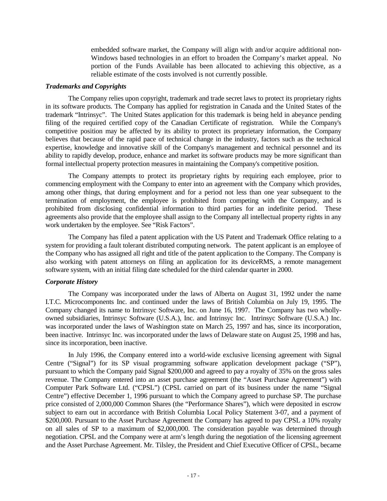embedded software market, the Company will align with and/or acquire additional non-Windows based technologies in an effort to broaden the Company's market appeal. No portion of the Funds Available has been allocated to achieving this objective, as a reliable estimate of the costs involved is not currently possible.

### <span id="page-16-0"></span>*Trademarks and Copyrights*

The Company relies upon copyright, trademark and trade secret laws to protect its proprietary rights in its software products. The Company has applied for registration in Canada and the United States of the trademark "Intrinsyc". The United States application for this trademark is being held in abeyance pending filing of the required certified copy of the Canadian Certificate of registration. While the Company's competitive position may be affected by its ability to protect its proprietary information, the Company believes that because of the rapid pace of technical change in the industry, factors such as the technical expertise, knowledge and innovative skill of the Company's management and technical personnel and its ability to rapidly develop, produce, enhance and market its software products may be more significant than formal intellectual property protection measures in maintaining the Company's competitive position.

The Company attempts to protect its proprietary rights by requiring each employee, prior to commencing employment with the Company to enter into an agreement with the Company which provides, among other things, that during employment and for a period not less than one year subsequent to the termination of employment, the employee is prohibited from competing with the Company, and is prohibited from disclosing confidential information to third parties for an indefinite period. These agreements also provide that the employee shall assign to the Company all intellectual property rights in any work undertaken by the employee. See "Risk Factors".

The Company has filed a patent application with the US Patent and Trademark Office relating to a system for providing a fault tolerant distributed computing network. The patent applicant is an employee of the Company who has assigned all right and title of the patent application to the Company. The Company is also working with patent attorneys on filing an application for its deviceRMS, a remote management software system, with an initial filing date scheduled for the third calendar quarter in 2000.

# *Corporate History*

The Company was incorporated under the laws of Alberta on August 31, 1992 under the name I.T.C. Microcomponents Inc. and continued under the laws of British Columbia on July 19, 1995. The Company changed its name to Intrinsyc Software, Inc. on June 16, 1997. The Company has two whollyowned subsidiaries, Intrinsyc Software (U.S.A.), Inc. and Intrinsyc Inc. Intrinsyc Software (U.S.A.) Inc. was incorporated under the laws of Washington state on March 25, 1997 and has, since its incorporation, been inactive. Intrinsyc Inc. was incorporated under the laws of Delaware state on August 25, 1998 and has, since its incorporation, been inactive.

In July 1996, the Company entered into a world-wide exclusive licensing agreement with Signal Centre ("Signal") for its SP visual programming software application development package ("SP"), pursuant to which the Company paid Signal \$200,000 and agreed to pay a royalty of 35% on the gross sales revenue. The Company entered into an asset purchase agreement (the "Asset Purchase Agreement") with Computer Park Software Ltd. ("CPSL") (CPSL carried on part of its business under the name "Signal Centre") effective December 1, 1996 pursuant to which the Company agreed to purchase SP. The purchase price consisted of 2,000,000 Common Shares (the "Performance Shares"), which were deposited in escrow subject to earn out in accordance with British Columbia Local Policy Statement 3-07, and a payment of \$200,000. Pursuant to the Asset Purchase Agreement the Company has agreed to pay CPSL a 10% royalty on all sales of SP to a maximum of \$2,000,000. The consideration payable was determined through negotiation. CPSL and the Company were at arm's length during the negotiation of the licensing agreement and the Asset Purchase Agreement. Mr. Tilsley, the President and Chief Executive Officer of CPSL, became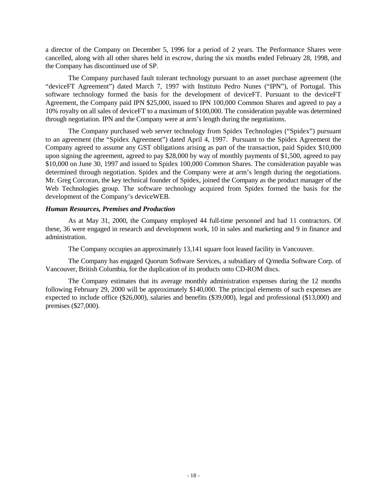<span id="page-17-0"></span>a director of the Company on December 5, 1996 for a period of 2 years. The Performance Shares were cancelled, along with all other shares held in escrow, during the six months ended February 28, 1998, and the Company has discontinued use of SP.

The Company purchased fault tolerant technology pursuant to an asset purchase agreement (the "deviceFT Agreement") dated March 7, 1997 with Instituto Pedro Nunes ("IPN"), of Portugal. This software technology formed the basis for the development of deviceFT. Pursuant to the deviceFT Agreement, the Company paid IPN \$25,000, issued to IPN 100,000 Common Shares and agreed to pay a 10% royalty on all sales of deviceFT to a maximum of \$100,000. The consideration payable was determined through negotiation. IPN and the Company were at arm's length during the negotiations.

The Company purchased web server technology from Spidex Technologies ("Spidex") pursuant to an agreement (the "Spidex Agreement") dated April 4, 1997. Pursuant to the Spidex Agreement the Company agreed to assume any GST obligations arising as part of the transaction, paid Spidex \$10,000 upon signing the agreement, agreed to pay \$28,000 by way of monthly payments of \$1,500, agreed to pay \$10,000 on June 30, 1997 and issued to Spidex 100,000 Common Shares. The consideration payable was determined through negotiation. Spidex and the Company were at arm's length during the negotiations. Mr. Greg Corcoran, the key technical founder of Spidex, joined the Company as the product manager of the Web Technologies group. The software technology acquired from Spidex formed the basis for the development of the Company's deviceWEB.

### *Human Resources, Premises and Production*

As at May 31, 2000, the Company employed 44 full-time personnel and had 11 contractors. Of these, 36 were engaged in research and development work, 10 in sales and marketing and 9 in finance and administration.

The Company occupies an approximately 13,141 square foot leased facility in Vancouver.

The Company has engaged Quorum Software Services, a subsidiary of Q/media Software Corp. of Vancouver, British Columbia, for the duplication of its products onto CD-ROM discs.

The Company estimates that its average monthly administration expenses during the 12 months following February 29, 2000 will be approximately \$140,000. The principal elements of such expenses are expected to include office (\$26,000), salaries and benefits (\$39,000), legal and professional (\$13,000) and premises (\$27,000).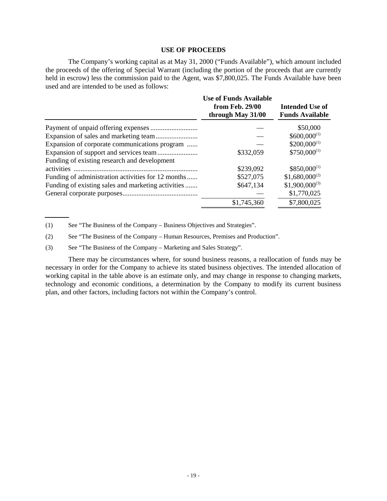#### **USE OF PROCEEDS**

<span id="page-18-0"></span>The Company's working capital as at May 31, 2000 ("Funds Available"), which amount included the proceeds of the offering of Special Warrant (including the portion of the proceeds that are currently held in escrow) less the commission paid to the Agent, was \$7,800,025. The Funds Available have been used and are intended to be used as follows:

|                                                    | <b>Use of Funds Available</b><br>from Feb. 29/00<br>through May 31/00 | Intended Use of<br><b>Funds Available</b> |
|----------------------------------------------------|-----------------------------------------------------------------------|-------------------------------------------|
|                                                    |                                                                       | \$50,000                                  |
|                                                    |                                                                       | $$600,000^{(1)}$                          |
| Expansion of corporate communications program      |                                                                       | $$200,000^{(1)}$                          |
|                                                    | \$332,059                                                             | $$750,000^{(1)}$                          |
| Funding of existing research and development       |                                                                       |                                           |
|                                                    | \$239,092                                                             | $$850,000^{(1)}$                          |
| Funding of administration activities for 12 months | \$527,075                                                             | $$1,680,000^{(2)}$                        |
| Funding of existing sales and marketing activities | \$647,134                                                             | $$1,900,000^{(3)}$                        |
|                                                    |                                                                       | \$1,770,025                               |
|                                                    | \$1,745,360                                                           | \$7,800,025                               |

(1) See "The Business of the Company – Business Objectives and Strategies".

(2) See "The Business of the Company – Human Resources, Premises and Production".

(3) See "The Business of the Company – Marketing and Sales Strategy".

There may be circumstances where, for sound business reasons, a reallocation of funds may be necessary in order for the Company to achieve its stated business objectives. The intended allocation of working capital in the table above is an estimate only, and may change in response to changing markets, technology and economic conditions, a determination by the Company to modify its current business plan, and other factors, including factors not within the Company's control.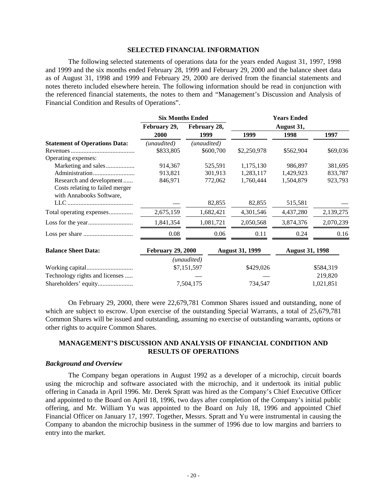#### **SELECTED FINANCIAL INFORMATION**

<span id="page-19-0"></span>The following selected statements of operations data for the years ended August 31, 1997, 1998 and 1999 and the six months ended February 28, 1999 and February 29, 2000 and the balance sheet data as of August 31, 1998 and 1999 and February 29, 2000 are derived from the financial statements and notes thereto included elsewhere herein. The following information should be read in conjunction with the referenced financial statements, the notes to them and "Management's Discussion and Analysis of Financial Condition and Results of Operations".

|                                      | <b>Six Months Ended</b> |              | <b>Years Ended</b> |           |           |
|--------------------------------------|-------------------------|--------------|--------------------|-----------|-----------|
|                                      | February 29,            | February 28, | August 31,         |           |           |
|                                      | 2000                    | 1999         | 1999               | 1998      | 1997      |
| <b>Statement of Operations Data:</b> | (unaudited)             | (unaudited)  |                    |           |           |
|                                      | \$833,805               | \$600,700    | \$2,250,978        | \$562,904 | \$69,036  |
| Operating expenses:                  |                         |              |                    |           |           |
| Marketing and sales                  | 914,367                 | 525.591      | 1,175,130          | 986.897   | 381,695   |
|                                      | 913,821                 | 301,913      | 1,283,117          | 1,429,923 | 833,787   |
| Research and development             | 846,971                 | 772,062      | 1,760,444          | 1,504,879 | 923,793   |
| Costs relating to failed merger      |                         |              |                    |           |           |
| with Annabooks Software,             |                         |              |                    |           |           |
|                                      |                         | 82,855       | 82,855             | 515,581   |           |
| Total operating expenses             | 2,675,159               | 1,682,421    | 4,301,546          | 4,437,280 | 2,139,275 |
|                                      | 1,841,354               | 1,081,721    | 2,050,568          | 3,874,376 | 2,070,239 |
|                                      | 0.08                    | 0.06         | 0.11               | 0.24      | 0.16      |

| <b>Balance Sheet Data:</b>     | <b>February 29, 2000</b> | <b>August 31, 1999</b> | <b>August 31, 1998</b> |
|--------------------------------|--------------------------|------------------------|------------------------|
|                                | (unaudited)              |                        |                        |
|                                | \$7,151,597              | \$429,026              | \$584.319              |
| Technology rights and licenses |                          |                        | 219.820                |
|                                | 7,504,175                | 734.547                | 1,021,851              |

On February 29, 2000, there were 22,679,781 Common Shares issued and outstanding, none of which are subject to escrow. Upon exercise of the outstanding Special Warrants, a total of 25,679,781 Common Shares will be issued and outstanding, assuming no exercise of outstanding warrants, options or other rights to acquire Common Shares.

# **MANAGEMENT'S DISCUSSION AND ANALYSIS OF FINANCIAL CONDITION AND RESULTS OF OPERATIONS**

#### *Background and Overview*

The Company began operations in August 1992 as a developer of a microchip, circuit boards using the microchip and software associated with the microchip, and it undertook its initial public offering in Canada in April 1996. Mr. Derek Spratt was hired as the Company's Chief Executive Officer and appointed to the Board on April 18, 1996, two days after completion of the Company's initial public offering, and Mr. William Yu was appointed to the Board on July 18, 1996 and appointed Chief Financial Officer on January 17, 1997. Together, Messrs. Spratt and Yu were instrumental in causing the Company to abandon the microchip business in the summer of 1996 due to low margins and barriers to entry into the market.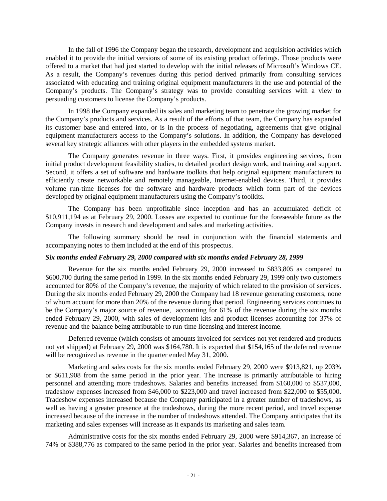In the fall of 1996 the Company began the research, development and acquisition activities which enabled it to provide the initial versions of some of its existing product offerings. Those products were offered to a market that had just started to develop with the initial releases of Microsoft's Windows CE. As a result, the Company's revenues during this period derived primarily from consulting services associated with educating and training original equipment manufacturers in the use and potential of the Company's products. The Company's strategy was to provide consulting services with a view to persuading customers to license the Company's products.

In 1998 the Company expanded its sales and marketing team to penetrate the growing market for the Company's products and services. As a result of the efforts of that team, the Company has expanded its customer base and entered into, or is in the process of negotiating, agreements that give original equipment manufacturers access to the Company's solutions. In addition, the Company has developed several key strategic alliances with other players in the embedded systems market.

The Company generates revenue in three ways. First, it provides engineering services, from initial product development feasibility studies, to detailed product design work, and training and support. Second, it offers a set of software and hardware toolkits that help original equipment manufacturers to efficiently create networkable and remotely manageable, Internet-enabled devices. Third, it provides volume run-time licenses for the software and hardware products which form part of the devices developed by original equipment manufacturers using the Company's toolkits.

The Company has been unprofitable since inception and has an accumulated deficit of \$10,911,194 as at February 29, 2000. Losses are expected to continue for the foreseeable future as the Company invests in research and development and sales and marketing activities.

The following summary should be read in conjunction with the financial statements and accompanying notes to them included at the end of this prospectus.

#### *Six months ended February 29, 2000 compared with six months ended February 28, 1999*

Revenue for the six months ended February 29, 2000 increased to \$833,805 as compared to \$600,700 during the same period in 1999. In the six months ended February 29, 1999 only two customers accounted for 80% of the Company's revenue, the majority of which related to the provision of services. During the six months ended February 29, 2000 the Company had 18 revenue generating customers, none of whom account for more than 20% of the revenue during that period. Engineering services continues to be the Company's major source of revenue, accounting for 61% of the revenue during the six months ended February 29, 2000, with sales of development kits and product licenses accounting for 37% of revenue and the balance being attributable to run-time licensing and interest income.

Deferred revenue (which consists of amounts invoiced for services not yet rendered and products not yet shipped) at February 29, 2000 was \$164,780. It is expected that \$154,165 of the deferred revenue will be recognized as revenue in the quarter ended May 31, 2000.

Marketing and sales costs for the six months ended February 29, 2000 were \$913,821, up 203% or \$611,908 from the same period in the prior year. The increase is primarily attributable to hiring personnel and attending more tradeshows. Salaries and benefits increased from \$160,000 to \$537,000, tradeshow expenses increased from \$46,000 to \$223,000 and travel increased from \$22,000 to \$55,000. Tradeshow expenses increased because the Company participated in a greater number of tradeshows, as well as having a greater presence at the tradeshows, during the more recent period, and travel expense increased because of the increase in the number of tradeshows attended. The Company anticipates that its marketing and sales expenses will increase as it expands its marketing and sales team.

Administrative costs for the six months ended February 29, 2000 were \$914,367, an increase of 74% or \$388,776 as compared to the same period in the prior year. Salaries and benefits increased from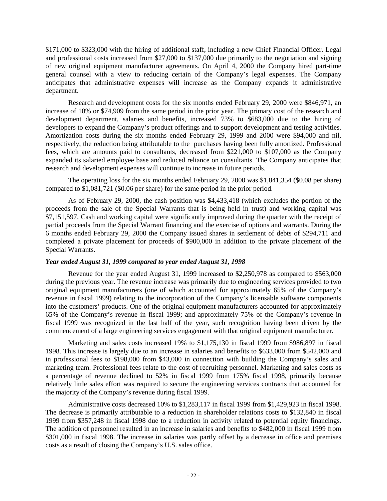\$171,000 to \$323,000 with the hiring of additional staff, including a new Chief Financial Officer. Legal and professional costs increased from \$27,000 to \$137,000 due primarily to the negotiation and signing of new original equipment manufacturer agreements. On April 4, 2000 the Company hired part-time general counsel with a view to reducing certain of the Company's legal expenses. The Company anticipates that administrative expenses will increase as the Company expands it administrative department.

Research and development costs for the six months ended February 29, 2000 were \$846,971, an increase of 10% or \$74,909 from the same period in the prior year. The primary cost of the research and development department, salaries and benefits, increased 73% to \$683,000 due to the hiring of developers to expand the Company's product offerings and to support development and testing activities. Amortization costs during the six months ended February 29, 1999 and 2000 were \$94,000 and nil, respectively, the reduction being attributable to the purchases having been fully amortized. Professional fees, which are amounts paid to consultants, decreased from \$221,000 to \$107,000 as the Company expanded its salaried employee base and reduced reliance on consultants. The Company anticipates that research and development expenses will continue to increase in future periods.

The operating loss for the six months ended February 29, 2000 was \$1,841,354 (\$0.08 per share) compared to \$1,081,721 (\$0.06 per share) for the same period in the prior period.

As of February 29, 2000, the cash position was \$4,433,418 (which excludes the portion of the proceeds from the sale of the Special Warrants that is being held in trust) and working capital was \$7,151,597. Cash and working capital were significantly improved during the quarter with the receipt of partial proceeds from the Special Warrant financing and the exercise of options and warrants. During the 6 months ended February 29, 2000 the Company issued shares in settlement of debts of \$294,711 and completed a private placement for proceeds of \$900,000 in addition to the private placement of the Special Warrants.

# *Year ended August 31, 1999 compared to year ended August 31, 1998*

Revenue for the year ended August 31, 1999 increased to \$2,250,978 as compared to \$563,000 during the previous year. The revenue increase was primarily due to engineering services provided to two original equipment manufacturers (one of which accounted for approximately 65% of the Company's revenue in fiscal 1999) relating to the incorporation of the Company's licensable software components into the customers' products. One of the original equipment manufacturers accounted for approximately 65% of the Company's revenue in fiscal 1999; and approximately 75% of the Company's revenue in fiscal 1999 was recognized in the last half of the year, such recognition having been driven by the commencement of a large engineering services engagement with that original equipment manufacturer.

Marketing and sales costs increased 19% to \$1,175,130 in fiscal 1999 from \$986,897 in fiscal 1998. This increase is largely due to an increase in salaries and benefits to \$633,000 from \$542,000 and in professional fees to \$198,000 from \$43,000 in connection with building the Company's sales and marketing team. Professional fees relate to the cost of recruiting personnel. Marketing and sales costs as a percentage of revenue declined to 52% in fiscal 1999 from 175% fiscal 1998, primarily because relatively little sales effort was required to secure the engineering services contracts that accounted for the majority of the Company's revenue during fiscal 1999.

Administrative costs decreased 10% to \$1,283,117 in fiscal 1999 from \$1,429,923 in fiscal 1998. The decrease is primarily attributable to a reduction in shareholder relations costs to \$132,840 in fiscal 1999 from \$357,248 in fiscal 1998 due to a reduction in activity related to potential equity financings. The addition of personnel resulted in an increase in salaries and benefits to \$482,000 in fiscal 1999 from \$301,000 in fiscal 1998. The increase in salaries was partly offset by a decrease in office and premises costs as a result of closing the Company's U.S. sales office.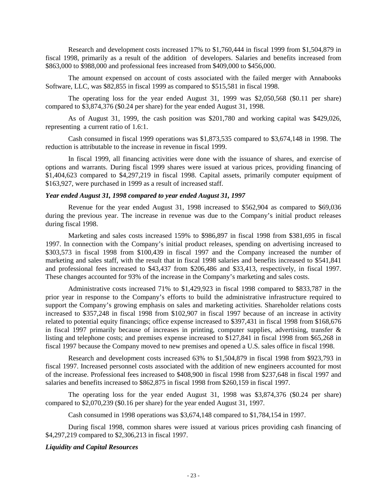Research and development costs increased 17% to \$1,760,444 in fiscal 1999 from \$1,504,879 in fiscal 1998, primarily as a result of the addition of developers. Salaries and benefits increased from \$863,000 to \$988,000 and professional fees increased from \$409,000 to \$456,000.

The amount expensed on account of costs associated with the failed merger with Annabooks Software, LLC, was \$82,855 in fiscal 1999 as compared to \$515,581 in fiscal 1998.

The operating loss for the year ended August 31, 1999 was \$2,050,568 (\$0.11 per share) compared to \$3,874,376 (\$0.24 per share) for the year ended August 31, 1998.

As of August 31, 1999, the cash position was \$201,780 and working capital was \$429,026, representing a current ratio of 1.6:1.

Cash consumed in fiscal 1999 operations was \$1,873,535 compared to \$3,674,148 in 1998. The reduction is attributable to the increase in revenue in fiscal 1999.

In fiscal 1999, all financing activities were done with the issuance of shares, and exercise of options and warrants. During fiscal 1999 shares were issued at various prices, providing financing of \$1,404,623 compared to \$4,297,219 in fiscal 1998. Capital assets, primarily computer equipment of \$163,927, were purchased in 1999 as a result of increased staff.

#### *Year ended August 31, 1998 compared to year ended August 31, 1997*

Revenue for the year ended August 31, 1998 increased to \$562,904 as compared to \$69,036 during the previous year. The increase in revenue was due to the Company's initial product releases during fiscal 1998.

Marketing and sales costs increased 159% to \$986,897 in fiscal 1998 from \$381,695 in fiscal 1997. In connection with the Company's initial product releases, spending on advertising increased to \$303,573 in fiscal 1998 from \$100,439 in fiscal 1997 and the Company increased the number of marketing and sales staff, with the result that in fiscal 1998 salaries and benefits increased to \$541,841 and professional fees increased to \$43,437 from \$206,486 and \$33,413, respectively, in fiscal 1997. These changes accounted for 93% of the increase in the Company's marketing and sales costs.

Administrative costs increased 71% to \$1,429,923 in fiscal 1998 compared to \$833,787 in the prior year in response to the Company's efforts to build the administrative infrastructure required to support the Company's growing emphasis on sales and marketing activities. Shareholder relations costs increased to \$357,248 in fiscal 1998 from \$102,907 in fiscal 1997 because of an increase in activity related to potential equity financings; office expense increased to \$397,431 in fiscal 1998 from \$168,676 in fiscal 1997 primarily because of increases in printing, computer supplies, advertising, transfer & listing and telephone costs; and premises expense increased to \$127,841 in fiscal 1998 from \$65,268 in fiscal 1997 because the Company moved to new premises and opened a U.S. sales office in fiscal 1998.

Research and development costs increased 63% to \$1,504,879 in fiscal 1998 from \$923,793 in fiscal 1997. Increased personnel costs associated with the addition of new engineers accounted for most of the increase. Professional fees increased to \$408,900 in fiscal 1998 from \$237,648 in fiscal 1997 and salaries and benefits increased to \$862,875 in fiscal 1998 from \$260,159 in fiscal 1997.

The operating loss for the year ended August 31, 1998 was \$3,874,376 (\$0.24 per share) compared to \$2,070,239 (\$0.16 per share) for the year ended August 31, 1997.

Cash consumed in 1998 operations was \$3,674,148 compared to \$1,784,154 in 1997.

During fiscal 1998, common shares were issued at various prices providing cash financing of \$4,297,219 compared to \$2,306,213 in fiscal 1997.

### *Liquidity and Capital Resources*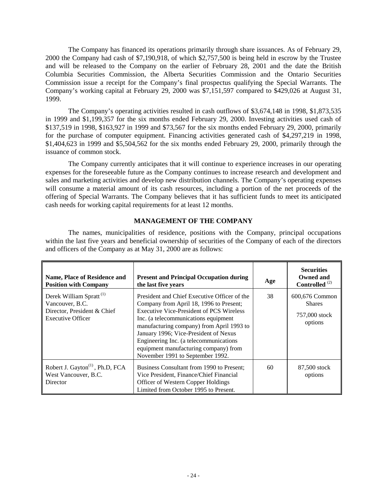<span id="page-23-0"></span>The Company has financed its operations primarily through share issuances. As of February 29, 2000 the Company had cash of \$7,190,918, of which \$2,757,500 is being held in escrow by the Trustee and will be released to the Company on the earlier of February 28, 2001 and the date the British Columbia Securities Commission, the Alberta Securities Commission and the Ontario Securities Commission issue a receipt for the Company's final prospectus qualifying the Special Warrants. The Company's working capital at February 29, 2000 was \$7,151,597 compared to \$429,026 at August 31, 1999.

The Company's operating activities resulted in cash outflows of \$3,674,148 in 1998, \$1,873,535 in 1999 and \$1,199,357 for the six months ended February 29, 2000. Investing activities used cash of \$137,519 in 1998, \$163,927 in 1999 and \$73,567 for the six months ended February 29, 2000, primarily for the purchase of computer equipment. Financing activities generated cash of \$4,297,219 in 1998, \$1,404,623 in 1999 and \$5,504,562 for the six months ended February 29, 2000, primarily through the issuance of common stock.

The Company currently anticipates that it will continue to experience increases in our operating expenses for the foreseeable future as the Company continues to increase research and development and sales and marketing activities and develop new distribution channels. The Company's operating expenses will consume a material amount of its cash resources, including a portion of the net proceeds of the offering of Special Warrants. The Company believes that it has sufficient funds to meet its anticipated cash needs for working capital requirements for at least 12 months.

# **MANAGEMENT OF THE COMPANY**

The names, municipalities of residence, positions with the Company, principal occupations within the last five years and beneficial ownership of securities of the Company of each of the directors and officers of the Company as at May 31, 2000 are as follows:

| Name, Place of Residence and<br><b>Position with Company</b>                                                      | <b>Present and Principal Occupation during</b><br>the last five years                                                                                                                                                                                                                                                                                                                    | Age | <b>Securities</b><br><b>Owned and</b><br>Controlled <sup>(2)</sup> |
|-------------------------------------------------------------------------------------------------------------------|------------------------------------------------------------------------------------------------------------------------------------------------------------------------------------------------------------------------------------------------------------------------------------------------------------------------------------------------------------------------------------------|-----|--------------------------------------------------------------------|
| Derek William Spratt <sup>(1)</sup><br>Vancouver, B.C.<br>Director, President & Chief<br><b>Executive Officer</b> | President and Chief Executive Officer of the<br>Company from April 18, 1996 to Present;<br>Executive Vice-President of PCS Wireless<br>Inc. (a telecommunications equipment<br>manufacturing company) from April 1993 to<br>January 1996; Vice-President of Nexus<br>Engineering Inc. (a telecommunications<br>equipment manufacturing company) from<br>November 1991 to September 1992. | 38  | 600,676 Common<br><b>Shares</b><br>757,000 stock<br>options        |
| Robert J. Gayton <sup>(1)</sup> , Ph.D, FCA<br>West Vancouver, B.C.<br>Director                                   | Business Consultant from 1990 to Present:<br>Vice President, Finance/Chief Financial<br>Officer of Western Copper Holdings<br>Limited from October 1995 to Present.                                                                                                                                                                                                                      | 60  | 87,500 stock<br>options                                            |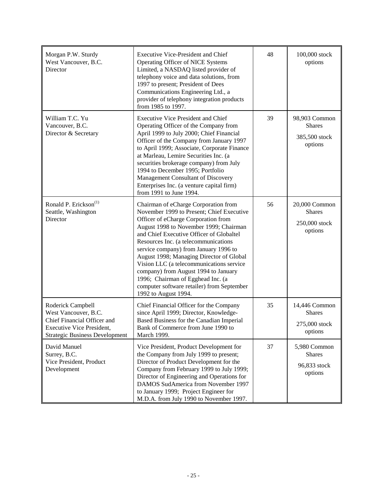| Morgan P.W. Sturdy<br>West Vancouver, B.C.<br>Director                                                                                                | <b>Executive Vice-President and Chief</b><br>Operating Officer of NICE Systems<br>Limited, a NASDAQ listed provider of<br>telephony voice and data solutions, from<br>1997 to present; President of Dees<br>Communications Engineering Ltd., a<br>provider of telephony integration products<br>from 1985 to 1997.                                                                                                                                                                                                                         | 48 | 100,000 stock<br>options                                   |
|-------------------------------------------------------------------------------------------------------------------------------------------------------|--------------------------------------------------------------------------------------------------------------------------------------------------------------------------------------------------------------------------------------------------------------------------------------------------------------------------------------------------------------------------------------------------------------------------------------------------------------------------------------------------------------------------------------------|----|------------------------------------------------------------|
| William T.C. Yu<br>Vancouver, B.C.<br>Director & Secretary                                                                                            | <b>Executive Vice President and Chief</b><br>Operating Officer of the Company from<br>April 1999 to July 2000; Chief Financial<br>Officer of the Company from January 1997<br>to April 1999; Associate, Corporate Finance<br>at Marleau, Lemire Securities Inc. (a<br>securities brokerage company) from July<br>1994 to December 1995; Portfolio<br>Management Consultant of Discovery<br>Enterprises Inc. (a venture capital firm)<br>from 1991 to June 1994.                                                                            | 39 | 98,903 Common<br><b>Shares</b><br>385,500 stock<br>options |
| Ronald P. Erickson <sup>(1)</sup><br>Seattle, Washington<br>Director                                                                                  | Chairman of eCharge Corporation from<br>November 1999 to Present; Chief Executive<br>Officer of eCharge Corporation from<br>August 1998 to November 1999; Chairman<br>and Chief Executive Officer of Globaltel<br>Resources Inc. (a telecommunications<br>service company) from January 1996 to<br>August 1998; Managing Director of Global<br>Vision LLC (a telecommunications service<br>company) from August 1994 to January<br>1996; Chairman of Egghead Inc. (a<br>computer software retailer) from September<br>1992 to August 1994. | 56 | 20,000 Common<br><b>Shares</b><br>250,000 stock<br>options |
| Roderick Campbell<br>West Vancouver, B.C.<br>Chief Financial Officer and<br><b>Executive Vice President,</b><br><b>Strategic Business Development</b> | Chief Financial Officer for the Company<br>since April 1999; Director, Knowledge-<br>Based Business for the Canadian Imperial<br>Bank of Commerce from June 1990 to<br>March 1999.                                                                                                                                                                                                                                                                                                                                                         | 35 | 14,446 Common<br><b>Shares</b><br>275,000 stock<br>options |
| David Manuel<br>Surrey, B.C.<br>Vice President, Product<br>Development                                                                                | Vice President, Product Development for<br>the Company from July 1999 to present;<br>Director of Product Development for the<br>Company from February 1999 to July 1999;<br>Director of Engineering and Operations for<br>DAMOS SudAmerica from November 1997<br>to January 1999; Project Engineer for<br>M.D.A. from July 1990 to November 1997.                                                                                                                                                                                          | 37 | 5,980 Common<br><b>Shares</b><br>96,833 stock<br>options   |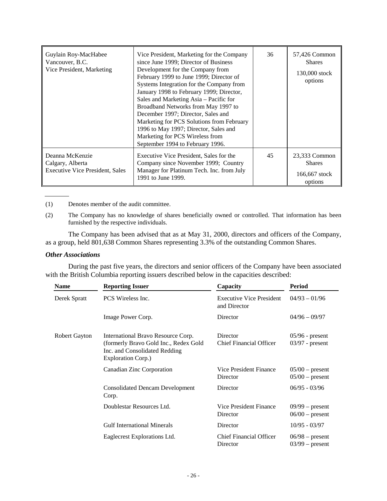| Guylain Roy-MacHabee<br>Vancouver, B.C.<br>Vice President, Marketing          | Vice President, Marketing for the Company<br>since June 1999; Director of Business<br>Development for the Company from<br>February 1999 to June 1999; Director of<br>Systems Integration for the Company from<br>January 1998 to February 1999; Director,<br>Sales and Marketing Asia – Pacific for<br>Broadband Networks from May 1997 to<br>December 1997; Director, Sales and<br>Marketing for PCS Solutions from February<br>1996 to May 1997; Director, Sales and<br>Marketing for PCS Wireless from<br>September 1994 to February 1996. | 36 | 57,426 Common<br><b>Shares</b><br>130,000 stock<br>options |
|-------------------------------------------------------------------------------|-----------------------------------------------------------------------------------------------------------------------------------------------------------------------------------------------------------------------------------------------------------------------------------------------------------------------------------------------------------------------------------------------------------------------------------------------------------------------------------------------------------------------------------------------|----|------------------------------------------------------------|
| Deanna McKenzie<br>Calgary, Alberta<br><b>Executive Vice President, Sales</b> | Executive Vice President, Sales for the<br>Company since November 1999; Country<br>Manager for Platinum Tech. Inc. from July<br>1991 to June 1999.                                                                                                                                                                                                                                                                                                                                                                                            | 45 | 23,333 Common<br><b>Shares</b><br>166,667 stock<br>options |

(1) Denotes member of the audit committee.

(2) The Company has no knowledge of shares beneficially owned or controlled. That information has been furnished by the respective individuals.

The Company has been advised that as at May 31, 2000, directors and officers of the Company, as a group, held 801,638 Common Shares representing 3.3% of the outstanding Common Shares.

#### *Other Associations*

During the past five years, the directors and senior officers of the Company have been associated with the British Columbia reporting issuers described below in the capacities described:

| <b>Name</b>          | <b>Reporting Issuer</b>                                                                                                            | Capacity                                        | Period                                 |
|----------------------|------------------------------------------------------------------------------------------------------------------------------------|-------------------------------------------------|----------------------------------------|
| Derek Spratt         | PCS Wireless Inc.                                                                                                                  | <b>Executive Vice President</b><br>and Director | $04/93 - 01/96$                        |
|                      | Image Power Corp.                                                                                                                  | Director                                        | $04/96 - 09/97$                        |
| <b>Robert Gayton</b> | International Bravo Resource Corp.<br>(formerly Bravo Gold Inc., Redex Gold<br>Inc. and Consolidated Redding<br>Exploration Corp.) | Director<br><b>Chief Financial Officer</b>      | $05/96$ - present<br>$03/97$ - present |
|                      | Canadian Zinc Corporation                                                                                                          | Vice President Finance<br>Director              | $05/00$ – present<br>$05/00$ – present |
|                      | <b>Consolidated Dencam Development</b><br>Corp.                                                                                    | Director                                        | $06/95 - 03/96$                        |
|                      | Doublestar Resources Ltd.                                                                                                          | Vice President Finance<br>Director              | $09/99$ – present<br>$06/00$ – present |
|                      | <b>Gulf International Minerals</b>                                                                                                 | Director                                        | $10/95 - 03/97$                        |
|                      | Eaglecrest Explorations Ltd.                                                                                                       | <b>Chief Financial Officer</b><br>Director      | $06/98$ – present<br>$03/99$ – present |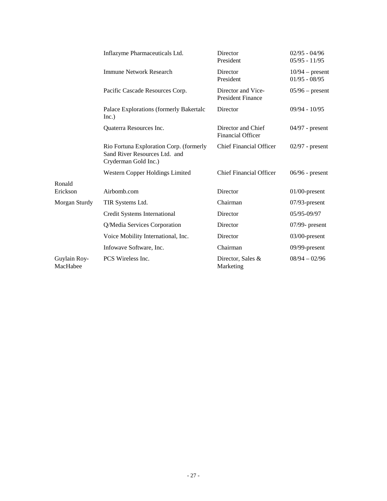|                          | Inflazyme Pharmaceuticals Ltd.                                                                   | Director<br>President                          | $02/95 - 04/96$<br>$05/95 - 11/95$   |
|--------------------------|--------------------------------------------------------------------------------------------------|------------------------------------------------|--------------------------------------|
|                          | <b>Immune Network Research</b>                                                                   | Director<br>President                          | $10/94$ – present<br>$01/95 - 08/95$ |
|                          | Pacific Cascade Resources Corp.                                                                  | Director and Vice-<br><b>President Finance</b> | $05/96$ – present                    |
|                          | Palace Explorations (formerly Bakertalc<br>Inc.)                                                 | Director                                       | $09/94 - 10/95$                      |
|                          | Quaterra Resources Inc.                                                                          | Director and Chief<br><b>Financial Officer</b> | $04/97$ - present                    |
|                          | Rio Fortuna Exploration Corp. (formerly<br>Sand River Resources Ltd. and<br>Cryderman Gold Inc.) | <b>Chief Financial Officer</b>                 | $02/97$ - present                    |
|                          | Western Copper Holdings Limited                                                                  | <b>Chief Financial Officer</b>                 | $06/96$ - present                    |
| Ronald<br>Erickson       | Airbomb.com                                                                                      | Director                                       | $01/00$ -present                     |
| Morgan Sturdy            | TIR Systems Ltd.                                                                                 | Chairman                                       | $07/93$ -present                     |
|                          | Credit Systems International                                                                     | Director                                       | 05/95-09/97                          |
|                          | Q/Media Services Corporation                                                                     | Director                                       | $07/99$ - present                    |
|                          | Voice Mobility International, Inc.                                                               | Director                                       | $03/00$ -present                     |
|                          | Infowave Software, Inc.                                                                          | Chairman                                       | $09/99$ -present                     |
| Guylain Roy-<br>MacHabee | PCS Wireless Inc.                                                                                | Director, Sales &<br>Marketing                 | $08/94 - 02/96$                      |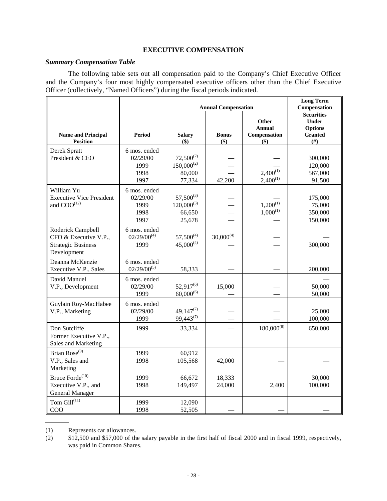# **EXECUTIVE COMPENSATION**

### <span id="page-27-0"></span>*Summary Compensation Table*

The following table sets out all compensation paid to the Company's Chief Executive Officer and the Company's four most highly compensated executive officers other than the Chief Executive Officer (collectively, "Named Officers") during the fiscal periods indicated.

|                                                                                        |                                                  | <b>Annual Compensation</b>                            |                     |                                                   | <b>Long Term</b><br>Compensation                                            |
|----------------------------------------------------------------------------------------|--------------------------------------------------|-------------------------------------------------------|---------------------|---------------------------------------------------|-----------------------------------------------------------------------------|
| <b>Name and Principal</b><br><b>Position</b>                                           | <b>Period</b>                                    | <b>Salary</b><br>$($ \$)                              | <b>Bonus</b><br>\$) | Other<br><b>Annual</b><br>Compensation<br>$($ \$) | <b>Securities</b><br><b>Under</b><br><b>Options</b><br><b>Granted</b><br>#) |
| Derek Spratt<br>President & CEO                                                        | 6 mos. ended<br>02/29/00<br>1999<br>1998<br>1997 | $72,500^{(2)}$<br>$150,000^{(2)}$<br>80,000<br>77,334 | 42,200              | $2,400^{(1)}$<br>$2,400^{(1)}$                    | 300,000<br>120,000<br>567,000<br>91,500                                     |
| William Yu<br><b>Executive Vice President</b><br>and COO <sup>(12)</sup>               | 6 mos. ended<br>02/29/00<br>1999<br>1998<br>1997 | $57,500^{(3)}$<br>$120,000^{(3)}$<br>66,650<br>25,678 |                     | $1,200^{(1)}$<br>$1,000^{(1)}$                    | 175,000<br>75,000<br>350,000<br>150,000                                     |
| Roderick Campbell<br>CFO & Executive V.P.,<br><b>Strategic Business</b><br>Development | 6 mos. ended<br>$02/29/00^{(4)}$<br>1999         | $57,500^{(4)}$<br>$45,000^{(4)}$                      | $30,000^{(4)}$      |                                                   | 300,000                                                                     |
| Deanna McKenzie<br>Executive V.P., Sales                                               | 6 mos. ended<br>$02/29/00^{(5)}$                 | 58,333                                                |                     |                                                   | 200,000                                                                     |
| David Manuel<br>V.P., Development                                                      | 6 mos. ended<br>02/29/00<br>1999                 | $52,917^{(6)}$<br>$60,000^{(6)}$                      | 15,000              |                                                   | 50,000<br>50,000                                                            |
| Guylain Roy-MacHabee<br>V.P., Marketing                                                | 6 mos. ended<br>02/29/00<br>1999                 | $49,147^{(7)}$<br>$99,443^{(7)}$                      |                     |                                                   | 25,000<br>100,000                                                           |
| Don Sutcliffe<br>Former Executive V.P.,<br>Sales and Marketing                         | 1999                                             | 33,334                                                |                     | $180,000^{(8)}$                                   | 650,000                                                                     |
| Brian Rose <sup>(9)</sup><br>V.P., Sales and<br>Marketing                              | 1999<br>1998                                     | 60,912<br>105,568                                     | 42,000              |                                                   |                                                                             |
| Bruce Forde <sup>(10)</sup><br>Executive V.P., and<br>General Manager                  | 1999<br>1998                                     | 66,672<br>149,497                                     | 18,333<br>24,000    | 2,400                                             | 30,000<br>100,000                                                           |
| Tom $\mathrm{Gill}^{(11)}$<br>COO                                                      | 1999<br>1998                                     | 12,090<br>52,505                                      |                     |                                                   |                                                                             |

(1) Represents car allowances.

(2) \$12,500 and \$57,000 of the salary payable in the first half of fiscal 2000 and in fiscal 1999, respectively, was paid in Common Shares.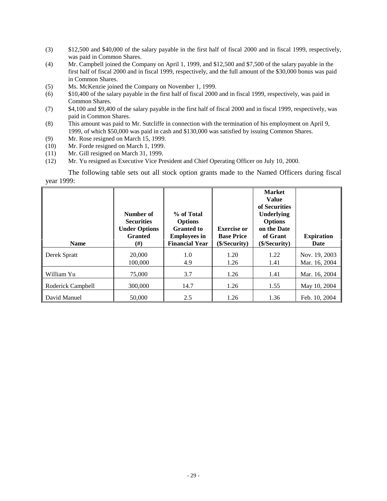- (3) \$12,500 and \$40,000 of the salary payable in the first half of fiscal 2000 and in fiscal 1999, respectively, was paid in Common Shares.
- (4) Mr. Campbell joined the Company on April 1, 1999, and \$12,500 and \$7,500 of the salary payable in the first half of fiscal 2000 and in fiscal 1999, respectively, and the full amount of the \$30,000 bonus was paid in Common Shares.
- (5) Ms. McKenzie joined the Company on November 1, 1999.
- (6) \$10,400 of the salary payable in the first half of fiscal 2000 and in fiscal 1999, respectively, was paid in Common Shares.
- (7) \$4,100 and \$9,400 of the salary payable in the first half of fiscal 2000 and in fiscal 1999, respectively, was paid in Common Shares.
- (8) This amount was paid to Mr. Sutcliffe in connection with the termination of his employment on April 9, 1999, of which \$50,000 was paid in cash and \$130,000 was satisfied by issuing Common Shares.
- (9) Mr. Rose resigned on March 15, 1999.
- (10) Mr. Forde resigned on March 1, 1999.
- (11) Mr. Gill resigned on March 31, 1999.
- (12) Mr. Yu resigned as Executive Vice President and Chief Operating Officer on July 10, 2000.

The following table sets out all stock option grants made to the Named Officers during fiscal year 1999:

| <b>Name</b>       | Number of<br><b>Securities</b><br><b>Under Options</b><br><b>Granted</b><br>$^{(#)}$ | % of Total<br><b>Options</b><br><b>Granted to</b><br><b>Employees in</b><br><b>Financial Year</b> | <b>Exercise or</b><br><b>Base Price</b><br>(\$/Security) | <b>Market</b><br><b>Value</b><br>of Securities<br>Underlying<br><b>Options</b><br>on the Date<br>of Grant<br>( <b>§</b> /Security) | <b>Expiration</b><br><b>Date</b> |
|-------------------|--------------------------------------------------------------------------------------|---------------------------------------------------------------------------------------------------|----------------------------------------------------------|------------------------------------------------------------------------------------------------------------------------------------|----------------------------------|
| Derek Spratt      | 20,000                                                                               | 1.0                                                                                               | 1.20                                                     | 1.22                                                                                                                               | Nov. 19, 2003                    |
|                   | 100,000                                                                              | 4.9                                                                                               | 1.26                                                     | 1.41                                                                                                                               | Mar. 16, 2004                    |
| William Yu        | 75,000                                                                               | 3.7                                                                                               | 1.26                                                     | 1.41                                                                                                                               | Mar. 16, 2004                    |
| Roderick Campbell | 300,000                                                                              | 14.7                                                                                              | 1.26                                                     | 1.55                                                                                                                               | May 10, 2004                     |
| David Manuel      | 50,000                                                                               | 2.5                                                                                               | 1.26                                                     | 1.36                                                                                                                               | Feb. 10, 2004                    |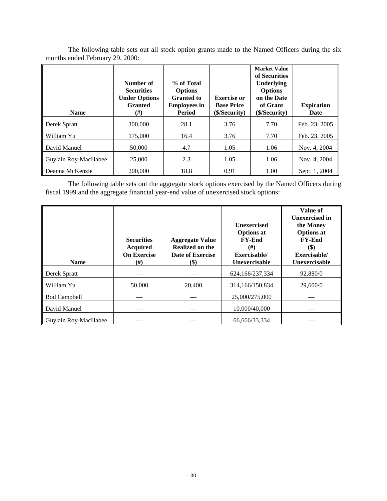| <b>Name</b>          | Number of<br><b>Securities</b><br><b>Under Options</b><br><b>Granted</b><br>(#) | % of Total<br><b>Options</b><br><b>Granted to</b><br><b>Employees in</b><br><b>Period</b> | <b>Exercise or</b><br><b>Base Price</b><br>(\$/Security) | <b>Market Value</b><br>of Securities<br><b>Underlying</b><br><b>Options</b><br>on the Date<br>of Grant<br>(\$/Security) | <b>Expiration</b><br>Date |
|----------------------|---------------------------------------------------------------------------------|-------------------------------------------------------------------------------------------|----------------------------------------------------------|-------------------------------------------------------------------------------------------------------------------------|---------------------------|
| Derek Spratt         | 300,000                                                                         | 28.1                                                                                      | 3.76                                                     | 7.70                                                                                                                    | Feb. 23, 2005             |
| William Yu           | 175,000                                                                         | 16.4                                                                                      | 3.76                                                     | 7.70                                                                                                                    | Feb. 23, 2005             |
| David Manuel         | 50,000                                                                          | 4.7                                                                                       | 1.05                                                     | 1.06                                                                                                                    | Nov. 4, 2004              |
| Guylain Roy-MacHabee | 25,000                                                                          | 2.3                                                                                       | 1.05                                                     | 1.06                                                                                                                    | Nov. 4, 2004              |
| Deanna McKenzie      | 200,000                                                                         | 18.8                                                                                      | 0.91                                                     | 1.00                                                                                                                    | Sept. 1, 2004             |

The following table sets out all stock option grants made to the Named Officers during the six months ended February 29, 2000:

The following table sets out the aggregate stock options exercised by the Named Officers during fiscal 1999 and the aggregate financial year-end value of unexercised stock options:

| <b>Name</b>          | <b>Securities</b><br><b>Acquired</b><br><b>On Exercise</b><br>$^{(#)}$ | <b>Aggregate Value</b><br>Realized on the<br>Date of Exercise<br>$\left( \text{\$}\right)$ | <b>Unexercised</b><br><b>Options at</b><br><b>FY-End</b><br>$^{(#)}$<br>Exercisable/<br>Unexercisable | Value of<br><b>Unexercised</b> in<br>the Money<br><b>Options</b> at<br><b>FY-End</b><br><b>(\$)</b><br>Exercisable/<br>Unexercisable |
|----------------------|------------------------------------------------------------------------|--------------------------------------------------------------------------------------------|-------------------------------------------------------------------------------------------------------|--------------------------------------------------------------------------------------------------------------------------------------|
| Derek Spratt         |                                                                        |                                                                                            | 624,166/237,334                                                                                       | 92,880/0                                                                                                                             |
| William Yu           | 50,000                                                                 | 20,400                                                                                     | 314,166/150,834                                                                                       | 29,600/0                                                                                                                             |
| Rod Campbell         |                                                                        |                                                                                            | 25,000/275,000                                                                                        |                                                                                                                                      |
| David Manuel         |                                                                        |                                                                                            | 10,000/40,000                                                                                         |                                                                                                                                      |
| Guylain Roy-MacHabee |                                                                        |                                                                                            | 66,666/33,334                                                                                         |                                                                                                                                      |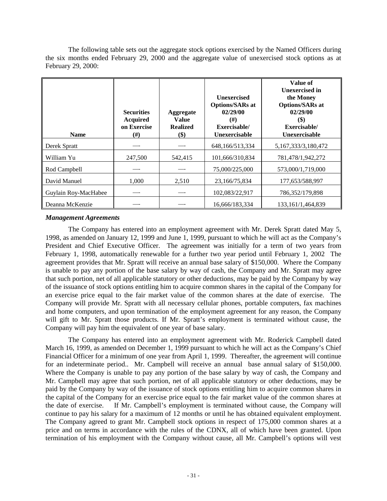<span id="page-30-0"></span>The following table sets out the aggregate stock options exercised by the Named Officers during the six months ended February 29, 2000 and the aggregate value of unexercised stock options as at February 29, 2000:

| <b>Name</b>          | <b>Securities</b><br><b>Acquired</b><br>on Exercise<br>$^{(#)}$ | Aggregate<br><b>Value</b><br><b>Realized</b><br>$\left( \text{\$}\right)$ | <b>Unexercised</b><br><b>Options/SARs at</b><br>02/29/00<br>(# )<br>Exercisable/<br><b>Unexercisable</b> | Value of<br><b>Unexercised in</b><br>the Money<br><b>Options/SARs at</b><br>02/29/00<br>\$)<br>Exercisable/<br>Unexercisable |
|----------------------|-----------------------------------------------------------------|---------------------------------------------------------------------------|----------------------------------------------------------------------------------------------------------|------------------------------------------------------------------------------------------------------------------------------|
| Derek Spratt         |                                                                 |                                                                           | 648,166/513,334                                                                                          | 5,167,333/3,180,472                                                                                                          |
| William Yu           | 247,500                                                         | 542,415                                                                   | 101,666/310,834                                                                                          | 781,478/1,942,272                                                                                                            |
| Rod Campbell         |                                                                 |                                                                           | 75,000/225,000                                                                                           | 573,000/1,719,000                                                                                                            |
| David Manuel         | 1,000                                                           | 2,510                                                                     | 23,166/75,834                                                                                            | 177,653/588,997                                                                                                              |
| Guylain Roy-MacHabee |                                                                 |                                                                           | 102,083/22,917                                                                                           | 786.352/179.898                                                                                                              |
| Deanna McKenzie      |                                                                 |                                                                           | 16,666/183,334                                                                                           | 133.161/1.464.839                                                                                                            |

# *Management Agreements*

The Company has entered into an employment agreement with Mr. Derek Spratt dated May 5, 1998, as amended on January 12, 1999 and June 1, 1999, pursuant to which he will act as the Company's President and Chief Executive Officer. The agreement was initially for a term of two years from February 1, 1998, automatically renewable for a further two year period until February 1, 2002 The agreement provides that Mr. Spratt will receive an annual base salary of \$150,000. Where the Company is unable to pay any portion of the base salary by way of cash, the Company and Mr. Spratt may agree that such portion, net of all applicable statutory or other deductions, may be paid by the Company by way of the issuance of stock options entitling him to acquire common shares in the capital of the Company for an exercise price equal to the fair market value of the common shares at the date of exercise. The Company will provide Mr. Spratt with all necessary cellular phones, portable computers, fax machines and home computers, and upon termination of the employment agreement for any reason, the Company will gift to Mr. Spratt those products. If Mr. Spratt's employment is terminated without cause, the Company will pay him the equivalent of one year of base salary.

The Company has entered into an employment agreement with Mr. Roderick Campbell dated March 16, 1999, as amended on December 1, 1999 pursuant to which he will act as the Company's Chief Financial Officer for a minimum of one year from April 1, 1999. Thereafter, the agreement will continue for an indeterminate period.. Mr. Campbell will receive an annual base annual salary of \$150,000. Where the Company is unable to pay any portion of the base salary by way of cash, the Company and Mr. Campbell may agree that such portion, net of all applicable statutory or other deductions, may be paid by the Company by way of the issuance of stock options entitling him to acquire common shares in the capital of the Company for an exercise price equal to the fair market value of the common shares at the date of exercise. If Mr. Campbell's employment is terminated without cause, the Company will continue to pay his salary for a maximum of 12 months or until he has obtained equivalent employment. The Company agreed to grant Mr. Campbell stock options in respect of 175,000 common shares at a price and on terms in accordance with the rules of the CDNX, all of which have been granted. Upon termination of his employment with the Company without cause, all Mr. Campbell's options will vest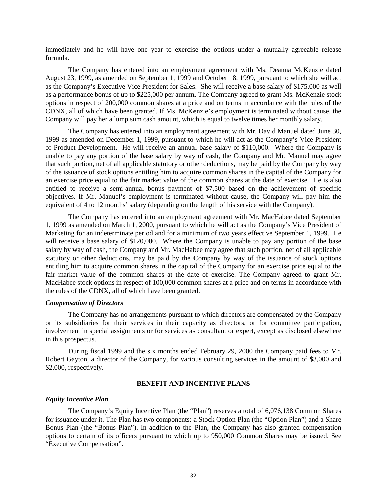<span id="page-31-0"></span>immediately and he will have one year to exercise the options under a mutually agreeable release formula.

The Company has entered into an employment agreement with Ms. Deanna McKenzie dated August 23, 1999, as amended on September 1, 1999 and October 18, 1999, pursuant to which she will act as the Company's Executive Vice President for Sales. She will receive a base salary of \$175,000 as well as a performance bonus of up to \$225,000 per annum. The Company agreed to grant Ms. McKenzie stock options in respect of 200,000 common shares at a price and on terms in accordance with the rules of the CDNX, all of which have been granted. If Ms. McKenzie's employment is terminated without cause, the Company will pay her a lump sum cash amount, which is equal to twelve times her monthly salary.

The Company has entered into an employment agreement with Mr. David Manuel dated June 30, 1999 as amended on December 1, 1999, pursuant to which he will act as the Company's Vice President of Product Development. He will receive an annual base salary of \$110,000. Where the Company is unable to pay any portion of the base salary by way of cash, the Company and Mr. Manuel may agree that such portion, net of all applicable statutory or other deductions, may be paid by the Company by way of the issuance of stock options entitling him to acquire common shares in the capital of the Company for an exercise price equal to the fair market value of the common shares at the date of exercise. He is also entitled to receive a semi-annual bonus payment of \$7,500 based on the achievement of specific objectives. If Mr. Manuel's employment is terminated without cause, the Company will pay him the equivalent of 4 to 12 months' salary (depending on the length of his service with the Company).

The Company has entered into an employment agreement with Mr. MacHabee dated September 1, 1999 as amended on March 1, 2000, pursuant to which he will act as the Company's Vice President of Marketing for an indeterminate period and for a minimum of two years effective September 1, 1999. He will receive a base salary of \$120,000. Where the Company is unable to pay any portion of the base salary by way of cash, the Company and Mr. MacHabee may agree that such portion, net of all applicable statutory or other deductions, may be paid by the Company by way of the issuance of stock options entitling him to acquire common shares in the capital of the Company for an exercise price equal to the fair market value of the common shares at the date of exercise. The Company agreed to grant Mr. MacHabee stock options in respect of 100,000 common shares at a price and on terms in accordance with the rules of the CDNX, all of which have been granted.

# *Compensation of Directors*

The Company has no arrangements pursuant to which directors are compensated by the Company or its subsidiaries for their services in their capacity as directors, or for committee participation, involvement in special assignments or for services as consultant or expert, except as disclosed elsewhere in this prospectus.

During fiscal 1999 and the six months ended February 29, 2000 the Company paid fees to Mr. Robert Gayton, a director of the Company, for various consulting services in the amount of \$3,000 and \$2,000, respectively.

# **BENEFIT AND INCENTIVE PLANS**

#### *Equity Incentive Plan*

The Company's Equity Incentive Plan (the "Plan") reserves a total of 6,076,138 Common Shares for issuance under it. The Plan has two components: a Stock Option Plan (the "Option Plan") and a Share Bonus Plan (the "Bonus Plan"). In addition to the Plan, the Company has also granted compensation options to certain of its officers pursuant to which up to 950,000 Common Shares may be issued. See "Executive Compensation".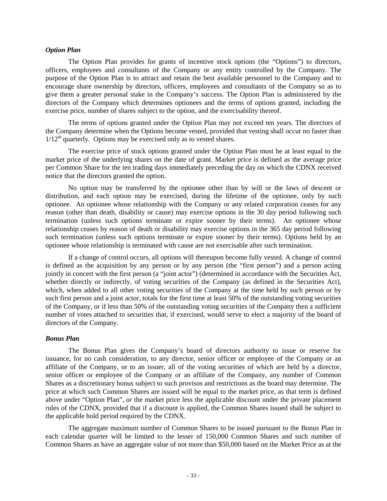#### <span id="page-32-0"></span>*Option Plan*

The Option Plan provides for grants of incentive stock options (the "Options") to directors, officers, employees and consultants of the Company or any entity controlled by the Company. The purpose of the Option Plan is to attract and retain the best available personnel to the Company and to encourage share ownership by directors, officers, employees and consultants of the Company so as to give them a greater personal stake in the Company's success. The Option Plan is administered by the directors of the Company which determines optionees and the terms of options granted, including the exercise price, number of shares subject to the option, and the exercisability thereof.

The terms of options granted under the Option Plan may not exceed ten years. The directors of the Company determine when the Options become vested, provided that vesting shall occur no faster than  $1/12<sup>th</sup>$  quarterly. Options may be exercised only as to vested shares.

The exercise price of stock options granted under the Option Plan must be at least equal to the market price of the underlying shares on the date of grant. Market price is defined as the average price per Common Share for the ten trading days immediately preceding the day on which the CDNX received notice that the directors granted the option.

No option may be transferred by the optionee other than by will or the laws of descent or distribution, and each option may be exercised, during the lifetime of the optionee, only by such optionee. An optionee whose relationship with the Company or any related corporation ceases for any reason (other than death, disability or cause) may exercise options in the 30 day period following such termination (unless such options terminate or expire sooner by their terms). An optionee whose relationship ceases by reason of death or disability may exercise options in the 365 day period following such termination (unless such options terminate or expire sooner by their terms). Options held by an optionee whose relationship is terminated with cause are not exercisable after such termination.

If a change of control occurs, all options will thereupon become fully vested. A change of control is defined as the acquisition by any person or by any person (the "first person") and a person acting jointly in concert with the first person (a "joint actor") (determined in accordance with the Securities Act, whether directly or indirectly, of voting securities of the Company (as defined in the Securities Act), which, when added to all other voting securities of the Company at the time held by such person or by such first person and a joint actor, totals for the first time at least 50% of the outstanding voting securities of the Company, or if less than 50% of the outstanding voting securities of the Company then a sufficient number of votes attached to securities that, if exercised, would serve to elect a majority of the board of directors of the Company.

#### *Bonus Plan*

The Bonus Plan gives the Company's board of directors authority to issue or reserve for issuance, for no cash consideration, to any director, senior officer or employee of the Company or an affiliate of the Company, or to an issuer, all of the voting securities of which are held by a director, senior officer or employee of the Company or an affiliate of the Company, any number of Common Shares as a discretionary bonus subject to such provisos and restrictions as the board may determine. The price at which such Common Shares are issued will be equal to the market price, as that term is defined above under "Option Plan", or the market price less the applicable discount under the private placement rules of the CDNX, provided that if a discount is applied, the Common Shares issued shall be subject to the applicable hold period required by the CDNX.

The aggregate maximum number of Common Shares to be issued pursuant to the Bonus Plan in each calendar quarter will be limited to the lesser of 150,000 Common Shares and such number of Common Shares as have an aggregate value of not more than \$50,000 based on the Market Price as at the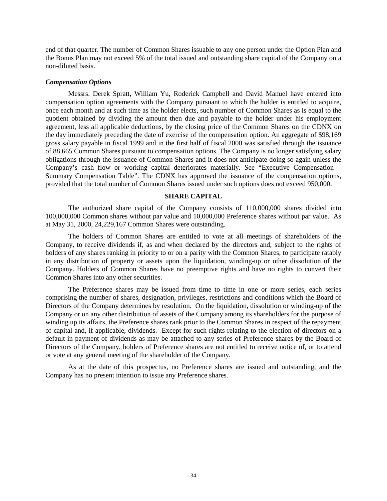<span id="page-33-0"></span>end of that quarter. The number of Common Shares issuable to any one person under the Option Plan and the Bonus Plan may not exceed 5% of the total issued and outstanding share capital of the Company on a non-diluted basis.

### *Compensation Options*

Messrs. Derek Spratt, William Yu, Roderick Campbell and David Manuel have entered into compensation option agreements with the Company pursuant to which the holder is entitled to acquire, once each month and at such time as the holder elects, such number of Common Shares as is equal to the quotient obtained by dividing the amount then due and payable to the holder under his employment agreement, less all applicable deductions, by the closing price of the Common Shares on the CDNX on the day immediately preceding the date of exercise of the compensation option. An aggregate of \$98,169 gross salary payable in fiscal 1999 and in the first half of fiscal 2000 was satisfied through the issuance of 88,665 Common Shares pursuant to compensation options. The Company is no longer satisfying salary obligations through the issuance of Common Shares and it does not anticipate doing so again unless the Company's cash flow or working capital deteriorates materially. See "Executive Compensation – Summary Compensation Table". The CDNX has approved the issuance of the compensation options, provided that the total number of Common Shares issued under such options does not exceed 950,000.

### **SHARE CAPITAL**

The authorized share capital of the Company consists of 110,000,000 shares divided into 100,000,000 Common shares without par value and 10,000,000 Preference shares without par value. As at May 31, 2000, 24,229,167 Common Shares were outstanding.

The holders of Common Shares are entitled to vote at all meetings of shareholders of the Company, to receive dividends if, as and when declared by the directors and, subject to the rights of holders of any shares ranking in priority to or on a parity with the Common Shares, to participate ratably in any distribution of property or assets upon the liquidation, winding-up or other dissolution of the Company. Holders of Common Shares have no preemptive rights and have no rights to convert their Common Shares into any other securities.

The Preference shares may be issued from time to time in one or more series, each series comprising the number of shares, designation, privileges, restrictions and conditions which the Board of Directors of the Company determines by resolution. On the liquidation, dissolution or winding-up of the Company or on any other distribution of assets of the Company among its shareholders for the purpose of winding up its affairs, the Preference shares rank prior to the Common Shares in respect of the repayment of capital and, if applicable, dividends. Except for such rights relating to the election of directors on a default in payment of dividends as may be attached to any series of Preference shares by the Board of Directors of the Company, holders of Preference shares are not entitled to receive notice of, or to attend or vote at any general meeting of the shareholder of the Company.

As at the date of this prospectus, no Preference shares are issued and outstanding, and the Company has no present intention to issue any Preference shares.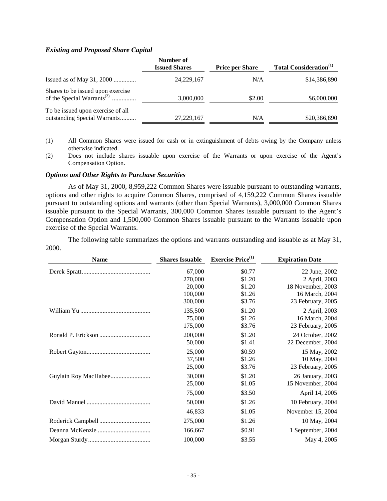#### <span id="page-34-0"></span>*Existing and Proposed Share Capital*

|                                                                             | Number of<br><b>Issued Shares</b> | <b>Price per Share</b> | <b>Total Consideration</b> <sup>(1)</sup> |
|-----------------------------------------------------------------------------|-----------------------------------|------------------------|-------------------------------------------|
|                                                                             | 24, 229, 167                      | N/A                    | \$14,386,890                              |
| Shares to be issued upon exercise<br>of the Special Warrants <sup>(2)</sup> | 3,000,000                         | \$2.00                 | \$6,000,000                               |
| To be issued upon exercise of all<br>outstanding Special Warrants           | 27,229,167                        | N/A                    | \$20,386,890                              |

- (1) All Common Shares were issued for cash or in extinguishment of debts owing by the Company unless otherwise indicated.
- (2) Does not include shares issuable upon exercise of the Warrants or upon exercise of the Agent's Compensation Option.

#### *Options and Other Rights to Purchase Securities*

As of May 31, 2000, 8,959,222 Common Shares were issuable pursuant to outstanding warrants, options and other rights to acquire Common Shares, comprised of 4,159,222 Common Shares issuable pursuant to outstanding options and warrants (other than Special Warrants), 3,000,000 Common Shares issuable pursuant to the Special Warrants, 300,000 Common Shares issuable pursuant to the Agent's Compensation Option and 1,500,000 Common Shares issuable pursuant to the Warrants issuable upon exercise of the Special Warrants.

The following table summarizes the options and warrants outstanding and issuable as at May 31, 2000.

| <b>Name</b> | <b>Shares Issuable</b> | <b>Exercise Price</b> <sup>(1)</sup> | <b>Expiration Date</b> |
|-------------|------------------------|--------------------------------------|------------------------|
|             | 67,000                 | \$0.77                               | 22 June, 2002          |
|             | 270,000                | \$1.20                               | 2 April, 2003          |
|             | 20,000                 | \$1.20                               | 18 November, 2003      |
|             | 100,000                | \$1.26                               | 16 March, 2004         |
|             | 300,000                | \$3.76                               | 23 February, 2005      |
|             | 135,500                | \$1.20                               | 2 April, 2003          |
|             | 75,000                 | \$1.26                               | 16 March, 2004         |
|             | 175,000                | \$3.76                               | 23 February, 2005      |
|             | 200,000                | \$1.20                               | 24 October, 2002       |
|             | 50,000                 | \$1.41                               | 22 December, 2004      |
|             | 25,000                 | \$0.59                               | 15 May, 2002           |
|             | 37,500                 | \$1.26                               | 10 May, 2004           |
|             | 25,000                 | \$3.76                               | 23 February, 2005      |
|             | 30,000                 | \$1.20                               | 26 January, 2003       |
|             | 25,000                 | \$1.05                               | 15 November, 2004      |
|             | 75,000                 | \$3.50                               | April 14, 2005         |
|             | 50,000                 | \$1.26                               | 10 February, 2004      |
|             | 46,833                 | \$1.05                               | November 15, 2004      |
|             | 275,000                | \$1.26                               | 10 May, 2004           |
|             | 166,667                | \$0.91                               | 1 September, 2004      |
|             | 100,000                | \$3.55                               | May 4, 2005            |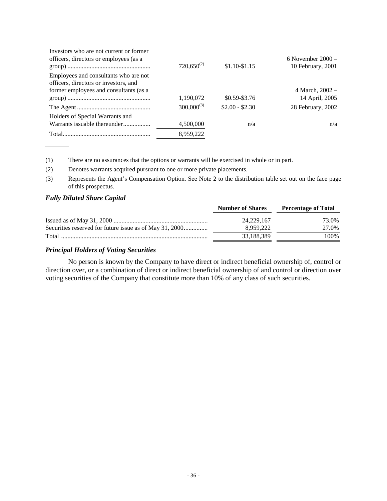<span id="page-35-0"></span>

|                 |                 | 6 November $2000 -$ |
|-----------------|-----------------|---------------------|
|                 | $$1.10-S1.15$   | 10 February, 2001   |
|                 |                 |                     |
|                 |                 |                     |
|                 |                 | 4 March, $2002 -$   |
| 1,190,072       | $$0.59 - $3.76$ | 14 April, 2005      |
| $300,000^{(3)}$ | $$2.00 - $2.30$ | 28 February, 2002   |
|                 |                 |                     |
| 4,500,000       | n/a             | n/a                 |
| 8,959,222       |                 |                     |
|                 | $720,650^{(2)}$ |                     |

(1) There are no assurances that the options or warrants will be exercised in whole or in part.

(2) Denotes warrants acquired pursuant to one or more private placements.

(3) Represents the Agent's Compensation Option. See Note 2 to the distribution table set out on the face page of this prospectus.

# *Fully Diluted Share Capital*

|                                                         | <b>Number of Shares</b> | <b>Percentage of Total</b> |
|---------------------------------------------------------|-------------------------|----------------------------|
|                                                         | 24.229.167              | 73.0%                      |
| Securities reserved for future issue as of May 31, 2000 | 8.959.222               | 27.0%                      |
| Total                                                   | 33,188,389              | 100\%                      |

# *Principal Holders of Voting Securities*

No person is known by the Company to have direct or indirect beneficial ownership of, control or direction over, or a combination of direct or indirect beneficial ownership of and control or direction over voting securities of the Company that constitute more than 10% of any class of such securities.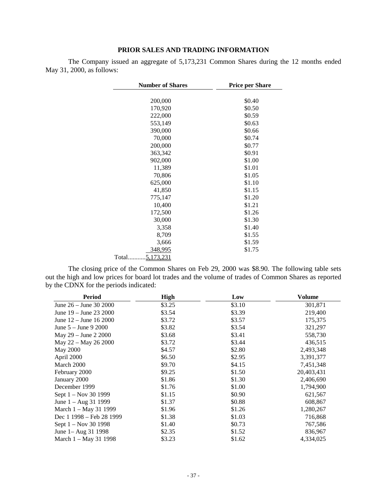# **PRIOR SALES AND TRADING INFORMATION**

<span id="page-36-0"></span>The Company issued an aggregate of 5,173,231 Common Shares during the 12 months ended May 31, 2000, as follows:

| <b>Number of Shares</b> | <b>Price per Share</b> |
|-------------------------|------------------------|
|                         |                        |
| 200,000                 | \$0.40                 |
| 170,920                 | \$0.50                 |
| 222,000                 | \$0.59                 |
| 553,149                 | \$0.63                 |
| 390,000                 | \$0.66                 |
| 70,000                  | \$0.74                 |
| 200,000                 | \$0.77                 |
| 363,342                 | \$0.91                 |
| 902,000                 | \$1.00                 |
| 11,389                  | \$1.01                 |
| 70,806                  | \$1.05                 |
| 625,000                 | \$1.10                 |
| 41,850                  | \$1.15                 |
| 775,147                 | \$1.20                 |
| 10,400                  | \$1.21                 |
| 172,500                 | \$1.26                 |
| 30,000                  | \$1.30                 |
| 3,358                   | \$1.40                 |
| 8,709                   | \$1.55                 |
| 3,666                   | \$1.59                 |
| 348,995                 | \$1.75                 |
| Total<br>5,173,231      |                        |

The closing price of the Common Shares on Feb 29, 2000 was \$8.90. The following table sets out the high and low prices for board lot trades and the volume of trades of Common Shares as reported by the CDNX for the periods indicated:

| Period                         | <b>High</b> | Low    | Volume     |
|--------------------------------|-------------|--------|------------|
| June $26 -$ June 30 2000       | \$3.25      | \$3.10 | 301,871    |
| June 19 – June 23 2000         | \$3.54      | \$3.39 | 219,400    |
| June $12 -$ June $16\,2000$    | \$3.72      | \$3.57 | 175,375    |
| June $5 -$ June $9\,2000$      | \$3.82      | \$3.54 | 321,297    |
| May 29 – June 2 2000           | \$3.68      | \$3.41 | 558,730    |
| May 22 – May 26 2000           | \$3.72      | \$3.44 | 436,515    |
| May 2000                       | \$4.57      | \$2.80 | 2,493,348  |
| April 2000                     | \$6.50      | \$2.95 | 3,391,377  |
| March 2000                     | \$9.70      | \$4.15 | 7,451,348  |
| February 2000                  | \$9.25      | \$1.50 | 20,403,431 |
| January 2000                   | \$1.86      | \$1.30 | 2,406,690  |
| December 1999                  | \$1.76      | \$1.00 | 1,794,900  |
| Sept 1 – Nov 30 1999           | \$1.15      | \$0.90 | 621,567    |
| June $1 - \text{Aug } 31$ 1999 | \$1.37      | \$0.88 | 608,867    |
| March 1 – May 31 1999          | \$1.96      | \$1.26 | 1,280,267  |
| Dec 1 1998 – Feb 28 1999       | \$1.38      | \$1.03 | 716,868    |
| Sept 1 – Nov 30 1998           | \$1.40      | \$0.73 | 767,586    |
| June 1– Aug 31 1998            | \$2.35      | \$1.52 | 836,967    |
| March 1 – May 31 1998          | \$3.23      | \$1.62 | 4,334,025  |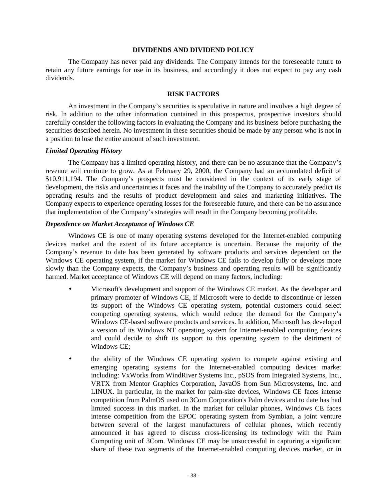#### **DIVIDENDS AND DIVIDEND POLICY**

<span id="page-37-0"></span>The Company has never paid any dividends. The Company intends for the foreseeable future to retain any future earnings for use in its business, and accordingly it does not expect to pay any cash dividends.

# **RISK FACTORS**

An investment in the Company's securities is speculative in nature and involves a high degree of risk. In addition to the other information contained in this prospectus, prospective investors should carefully consider the following factors in evaluating the Company and its business before purchasing the securities described herein. No investment in these securities should be made by any person who is not in a position to lose the entire amount of such investment.

#### *Limited Operating History*

The Company has a limited operating history, and there can be no assurance that the Company's revenue will continue to grow. As at February 29, 2000, the Company had an accumulated deficit of \$10,911,194. The Company's prospects must be considered in the context of its early stage of development, the risks and uncertainties it faces and the inability of the Company to accurately predict its operating results and the results of product development and sales and marketing initiatives. The Company expects to experience operating losses for the foreseeable future, and there can be no assurance that implementation of the Company's strategies will result in the Company becoming profitable.

### *Dependence on Market Acceptance of Windows CE*

Windows CE is one of many operating systems developed for the Internet-enabled computing devices market and the extent of its future acceptance is uncertain. Because the majority of the Company's revenue to date has been generated by software products and services dependent on the Windows CE operating system, if the market for Windows CE fails to develop fully or develops more slowly than the Company expects, the Company's business and operating results will be significantly harmed. Market acceptance of Windows CE will depend on many factors, including:

- Microsoft's development and support of the Windows CE market. As the developer and primary promoter of Windows CE, if Microsoft were to decide to discontinue or lessen its support of the Windows CE operating system, potential customers could select competing operating systems, which would reduce the demand for the Company's Windows CE-based software products and services. In addition, Microsoft has developed a version of its Windows NT operating system for Internet-enabled computing devices and could decide to shift its support to this operating system to the detriment of Windows CE;
- the ability of the Windows CE operating system to compete against existing and emerging operating systems for the Internet-enabled computing devices market including: VxWorks from WindRiver Systems Inc., pSOS from Integrated Systems, Inc., VRTX from Mentor Graphics Corporation, JavaOS from Sun Microsystems, Inc. and LINUX. In particular, in the market for palm-size devices, Windows CE faces intense competition from PalmOS used on 3Com Corporation's Palm devices and to date has had limited success in this market. In the market for cellular phones, Windows CE faces intense competition from the EPOC operating system from Symbian, a joint venture between several of the largest manufacturers of cellular phones, which recently announced it has agreed to discuss cross-licensing its technology with the Palm Computing unit of 3Com. Windows CE may be unsuccessful in capturing a significant share of these two segments of the Internet-enabled computing devices market, or in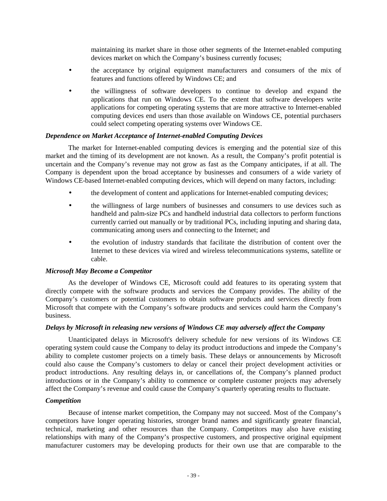maintaining its market share in those other segments of the Internet-enabled computing devices market on which the Company's business currently focuses;

- the acceptance by original equipment manufacturers and consumers of the mix of features and functions offered by Windows CE; and
- the willingness of software developers to continue to develop and expand the applications that run on Windows CE. To the extent that software developers write applications for competing operating systems that are more attractive to Internet-enabled computing devices end users than those available on Windows CE, potential purchasers could select competing operating systems over Windows CE.

# *Dependence on Market Acceptance of Internet-enabled Computing Devices*

The market for Internet-enabled computing devices is emerging and the potential size of this market and the timing of its development are not known. As a result, the Company's profit potential is uncertain and the Company's revenue may not grow as fast as the Company anticipates, if at all. The Company is dependent upon the broad acceptance by businesses and consumers of a wide variety of Windows CE-based Internet-enabled computing devices, which will depend on many factors, including:

- the development of content and applications for Internet-enabled computing devices;
- the willingness of large numbers of businesses and consumers to use devices such as handheld and palm-size PCs and handheld industrial data collectors to perform functions currently carried out manually or by traditional PCs, including inputing and sharing data, communicating among users and connecting to the Internet; and
- the evolution of industry standards that facilitate the distribution of content over the Internet to these devices via wired and wireless telecommunications systems, satellite or cable.

# *Microsoft May Become a Competitor*

As the developer of Windows CE, Microsoft could add features to its operating system that directly compete with the software products and services the Company provides. The ability of the Company's customers or potential customers to obtain software products and services directly from Microsoft that compete with the Company's software products and services could harm the Company's business.

# *Delays by Microsoft in releasing new versions of Windows CE may adversely affect the Company*

Unanticipated delays in Microsoft's delivery schedule for new versions of its Windows CE operating system could cause the Company to delay its product introductions and impede the Company's ability to complete customer projects on a timely basis. These delays or announcements by Microsoft could also cause the Company's customers to delay or cancel their project development activities or product introductions. Any resulting delays in, or cancellations of, the Company's planned product introductions or in the Company's ability to commence or complete customer projects may adversely affect the Company's revenue and could cause the Company's quarterly operating results to fluctuate.

# *Competition*

Because of intense market competition, the Company may not succeed. Most of the Company's competitors have longer operating histories, stronger brand names and significantly greater financial, technical, marketing and other resources than the Company. Competitors may also have existing relationships with many of the Company's prospective customers, and prospective original equipment manufacturer customers may be developing products for their own use that are comparable to the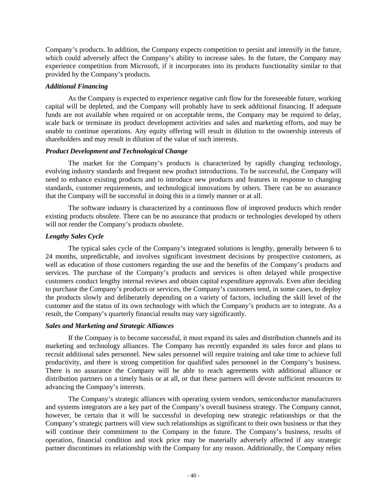Company's products. In addition, the Company expects competition to persist and intensify in the future, which could adversely affect the Company's ability to increase sales. In the future, the Company may experience competition from Microsoft, if it incorporates into its products functionality similar to that provided by the Company's products.

# *Additional Financing*

As the Company is expected to experience negative cash flow for the foreseeable future, working capital will be depleted, and the Company will probably have to seek additional financing. If adequate funds are not available when required or on acceptable terms, the Company may be required to delay, scale back or terminate its product development activities and sales and marketing efforts, and may be unable to continue operations. Any equity offering will result in dilution to the ownership interests of shareholders and may result in dilution of the value of such interests.

# *Product Development and Technological Change*

The market for the Company's products is characterized by rapidly changing technology, evolving industry standards and frequent new product introductions. To be successful, the Company will need to enhance existing products and to introduce new products and features in response to changing standards, customer requirements, and technological innovations by others. There can be no assurance that the Company will be successful in doing this in a timely manner or at all.

The software industry is characterized by a continuous flow of improved products which render existing products obsolete. There can be no assurance that products or technologies developed by others will not render the Company's products obsolete.

# *Lengthy Sales Cycle*

The typical sales cycle of the Company's integrated solutions is lengthy, generally between 6 to 24 months, unpredictable, and involves significant investment decisions by prospective customers, as well as education of those customers regarding the use and the benefits of the Company's products and services. The purchase of the Company's products and services is often delayed while prospective customers conduct lengthy internal reviews and obtain capital expenditure approvals. Even after deciding to purchase the Company's products or services, the Company's customers tend, in some cases, to deploy the products slowly and deliberately depending on a variety of factors, including the skill level of the customer and the status of its own technology with which the Company's products are to integrate. As a result, the Company's quarterly financial results may vary significantly.

# *Sales and Marketing and Strategic Alliances*

If the Company is to become successful, it must expand its sales and distribution channels and its marketing and technology alliances. The Company has recently expanded its sales force and plans to recruit additional sales personnel. New sales personnel will require training and take time to achieve full productivity, and there is strong competition for qualified sales personnel in the Company's business. There is no assurance the Company will be able to reach agreements with additional alliance or distribution partners on a timely basis or at all, or that these partners will devote sufficient resources to advancing the Company's interests.

The Company's strategic alliances with operating system vendors, semiconductor manufacturers and systems integrators are a key part of the Company's overall business strategy. The Company cannot, however, be certain that it will be successful in developing new strategic relationships or that the Company's strategic partners will view such relationships as significant to their own business or that they will continue their commitment to the Company in the future. The Company's business, results of operation, financial condition and stock price may be materially adversely affected if any strategic partner discontinues its relationship with the Company for any reason. Additionally, the Company relies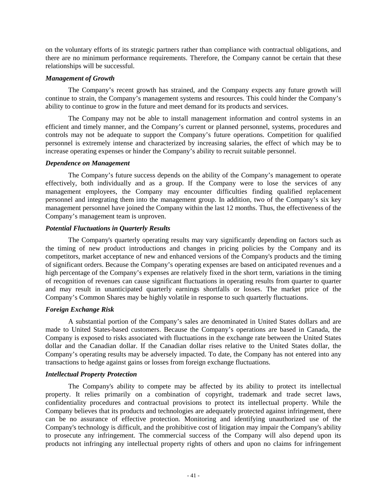on the voluntary efforts of its strategic partners rather than compliance with contractual obligations, and there are no minimum performance requirements. Therefore, the Company cannot be certain that these relationships will be successful.

# *Management of Growth*

The Company's recent growth has strained, and the Company expects any future growth will continue to strain, the Company's management systems and resources. This could hinder the Company's ability to continue to grow in the future and meet demand for its products and services.

The Company may not be able to install management information and control systems in an efficient and timely manner, and the Company's current or planned personnel, systems, procedures and controls may not be adequate to support the Company's future operations. Competition for qualified personnel is extremely intense and characterized by increasing salaries, the effect of which may be to increase operating expenses or hinder the Company's ability to recruit suitable personnel.

# *Dependence on Management*

The Company's future success depends on the ability of the Company's management to operate effectively, both individually and as a group. If the Company were to lose the services of any management employees, the Company may encounter difficulties finding qualified replacement personnel and integrating them into the management group. In addition, two of the Company's six key management personnel have joined the Company within the last 12 months. Thus, the effectiveness of the Company's management team is unproven.

# *Potential Fluctuations in Quarterly Results*

The Company's quarterly operating results may vary significantly depending on factors such as the timing of new product introductions and changes in pricing policies by the Company and its competitors, market acceptance of new and enhanced versions of the Company's products and the timing of significant orders. Because the Company's operating expenses are based on anticipated revenues and a high percentage of the Company's expenses are relatively fixed in the short term, variations in the timing of recognition of revenues can cause significant fluctuations in operating results from quarter to quarter and may result in unanticipated quarterly earnings shortfalls or losses. The market price of the Company's Common Shares may be highly volatile in response to such quarterly fluctuations.

# *Foreign Exchange Risk*

A substantial portion of the Company's sales are denominated in United States dollars and are made to United States-based customers. Because the Company's operations are based in Canada, the Company is exposed to risks associated with fluctuations in the exchange rate between the United States dollar and the Canadian dollar. If the Canadian dollar rises relative to the United States dollar, the Company's operating results may be adversely impacted. To date, the Company has not entered into any transactions to hedge against gains or losses from foreign exchange fluctuations.

# *Intellectual Property Protection*

The Company's ability to compete may be affected by its ability to protect its intellectual property. It relies primarily on a combination of copyright, trademark and trade secret laws, confidentiality procedures and contractual provisions to protect its intellectual property. While the Company believes that its products and technologies are adequately protected against infringement, there can be no assurance of effective protection. Monitoring and identifying unauthorized use of the Company's technology is difficult, and the prohibitive cost of litigation may impair the Company's ability to prosecute any infringement. The commercial success of the Company will also depend upon its products not infringing any intellectual property rights of others and upon no claims for infringement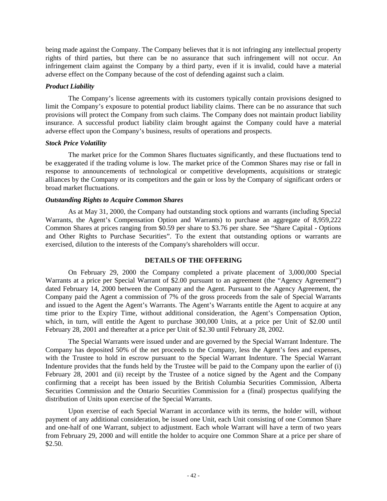<span id="page-41-0"></span>being made against the Company. The Company believes that it is not infringing any intellectual property rights of third parties, but there can be no assurance that such infringement will not occur. An infringement claim against the Company by a third party, even if it is invalid, could have a material adverse effect on the Company because of the cost of defending against such a claim.

# *Product Liability*

The Company's license agreements with its customers typically contain provisions designed to limit the Company's exposure to potential product liability claims. There can be no assurance that such provisions will protect the Company from such claims. The Company does not maintain product liability insurance. A successful product liability claim brought against the Company could have a material adverse effect upon the Company's business, results of operations and prospects.

# *Stock Price Volatility*

The market price for the Common Shares fluctuates significantly, and these fluctuations tend to be exaggerated if the trading volume is low. The market price of the Common Shares may rise or fall in response to announcements of technological or competitive developments, acquisitions or strategic alliances by the Company or its competitors and the gain or loss by the Company of significant orders or broad market fluctuations.

# *Outstanding Rights to Acquire Common Shares*

As at May 31, 2000, the Company had outstanding stock options and warrants (including Special Warrants, the Agent's Compensation Option and Warrants) to purchase an aggregate of 8,959,222 Common Shares at prices ranging from \$0.59 per share to \$3.76 per share. See "Share Capital - Options and Other Rights to Purchase Securities". To the extent that outstanding options or warrants are exercised, dilution to the interests of the Company's shareholders will occur.

# **DETAILS OF THE OFFERING**

On February 29, 2000 the Company completed a private placement of 3,000,000 Special Warrants at a price per Special Warrant of \$2.00 pursuant to an agreement (the "Agency Agreement") dated February 14, 2000 between the Company and the Agent. Pursuant to the Agency Agreement, the Company paid the Agent a commission of 7% of the gross proceeds from the sale of Special Warrants and issued to the Agent the Agent's Warrants. The Agent's Warrants entitle the Agent to acquire at any time prior to the Expiry Time, without additional consideration, the Agent's Compensation Option, which, in turn, will entitle the Agent to purchase 300,000 Units, at a price per Unit of \$2.00 until February 28, 2001 and thereafter at a price per Unit of \$2.30 until February 28, 2002.

The Special Warrants were issued under and are governed by the Special Warrant Indenture. The Company has deposited 50% of the net proceeds to the Company, less the Agent's fees and expenses, with the Trustee to hold in escrow pursuant to the Special Warrant Indenture. The Special Warrant Indenture provides that the funds held by the Trustee will be paid to the Company upon the earlier of (i) February 28, 2001 and (ii) receipt by the Trustee of a notice signed by the Agent and the Company confirming that a receipt has been issued by the British Columbia Securities Commission, Alberta Securities Commission and the Ontario Securities Commission for a (final) prospectus qualifying the distribution of Units upon exercise of the Special Warrants.

Upon exercise of each Special Warrant in accordance with its terms, the holder will, without payment of any additional consideration, be issued one Unit, each Unit consisting of one Common Share and one-half of one Warrant, subject to adjustment. Each whole Warrant will have a term of two years from February 29, 2000 and will entitle the holder to acquire one Common Share at a price per share of \$2.50.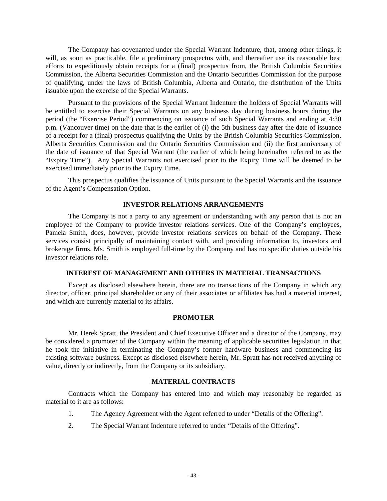<span id="page-42-0"></span>The Company has covenanted under the Special Warrant Indenture, that, among other things, it will, as soon as practicable, file a preliminary prospectus with, and thereafter use its reasonable best efforts to expeditiously obtain receipts for a (final) prospectus from, the British Columbia Securities Commission, the Alberta Securities Commission and the Ontario Securities Commission for the purpose of qualifying, under the laws of British Columbia, Alberta and Ontario, the distribution of the Units issuable upon the exercise of the Special Warrants.

Pursuant to the provisions of the Special Warrant Indenture the holders of Special Warrants will be entitled to exercise their Special Warrants on any business day during business hours during the period (the "Exercise Period") commencing on issuance of such Special Warrants and ending at 4:30 p.m. (Vancouver time) on the date that is the earlier of (i) the 5th business day after the date of issuance of a receipt for a (final) prospectus qualifying the Units by the British Columbia Securities Commission, Alberta Securities Commission and the Ontario Securities Commission and (ii) the first anniversary of the date of issuance of that Special Warrant (the earlier of which being hereinafter referred to as the "Expiry Time"). Any Special Warrants not exercised prior to the Expiry Time will be deemed to be exercised immediately prior to the Expiry Time.

This prospectus qualifies the issuance of Units pursuant to the Special Warrants and the issuance of the Agent's Compensation Option.

#### **INVESTOR RELATIONS ARRANGEMENTS**

The Company is not a party to any agreement or understanding with any person that is not an employee of the Company to provide investor relations services. One of the Company's employees, Pamela Smith, does, however, provide investor relations services on behalf of the Company. These services consist principally of maintaining contact with, and providing information to, investors and brokerage firms. Ms. Smith is employed full-time by the Company and has no specific duties outside his investor relations role.

# **INTEREST OF MANAGEMENT AND OTHERS IN MATERIAL TRANSACTIONS**

Except as disclosed elsewhere herein, there are no transactions of the Company in which any director, officer, principal shareholder or any of their associates or affiliates has had a material interest, and which are currently material to its affairs.

#### **PROMOTER**

Mr. Derek Spratt, the President and Chief Executive Officer and a director of the Company, may be considered a promoter of the Company within the meaning of applicable securities legislation in that he took the initiative in terminating the Company's former hardware business and commencing its existing software business. Except as disclosed elsewhere herein, Mr. Spratt has not received anything of value, directly or indirectly, from the Company or its subsidiary.

#### **MATERIAL CONTRACTS**

Contracts which the Company has entered into and which may reasonably be regarded as material to it are as follows:

- 1. The Agency Agreement with the Agent referred to under "Details of the Offering".
- 2. The Special Warrant Indenture referred to under "Details of the Offering".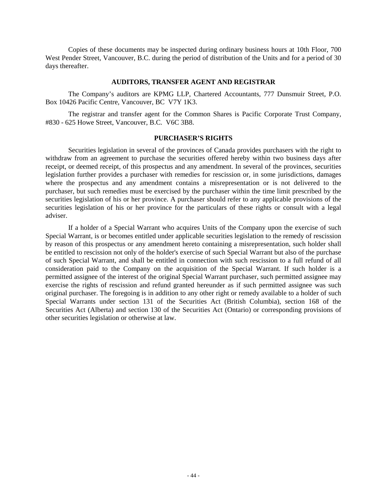<span id="page-43-0"></span>Copies of these documents may be inspected during ordinary business hours at 10th Floor, 700 West Pender Street, Vancouver, B.C. during the period of distribution of the Units and for a period of 30 days thereafter.

#### **AUDITORS, TRANSFER AGENT AND REGISTRAR**

The Company's auditors are KPMG LLP, Chartered Accountants, 777 Dunsmuir Street, P.O. Box 10426 Pacific Centre, Vancouver, BC V7Y 1K3.

The registrar and transfer agent for the Common Shares is Pacific Corporate Trust Company, #830 - 625 Howe Street, Vancouver, B.C. V6C 3B8.

#### **PURCHASER'S RIGHTS**

Securities legislation in several of the provinces of Canada provides purchasers with the right to withdraw from an agreement to purchase the securities offered hereby within two business days after receipt, or deemed receipt, of this prospectus and any amendment. In several of the provinces, securities legislation further provides a purchaser with remedies for rescission or, in some jurisdictions, damages where the prospectus and any amendment contains a misrepresentation or is not delivered to the purchaser, but such remedies must be exercised by the purchaser within the time limit prescribed by the securities legislation of his or her province. A purchaser should refer to any applicable provisions of the securities legislation of his or her province for the particulars of these rights or consult with a legal adviser.

If a holder of a Special Warrant who acquires Units of the Company upon the exercise of such Special Warrant, is or becomes entitled under applicable securities legislation to the remedy of rescission by reason of this prospectus or any amendment hereto containing a misrepresentation, such holder shall be entitled to rescission not only of the holder's exercise of such Special Warrant but also of the purchase of such Special Warrant, and shall be entitled in connection with such rescission to a full refund of all consideration paid to the Company on the acquisition of the Special Warrant. If such holder is a permitted assignee of the interest of the original Special Warrant purchaser, such permitted assignee may exercise the rights of rescission and refund granted hereunder as if such permitted assignee was such original purchaser. The foregoing is in addition to any other right or remedy available to a holder of such Special Warrants under section 131 of the Securities Act (British Columbia), section 168 of the Securities Act (Alberta) and section 130 of the Securities Act (Ontario) or corresponding provisions of other securities legislation or otherwise at law.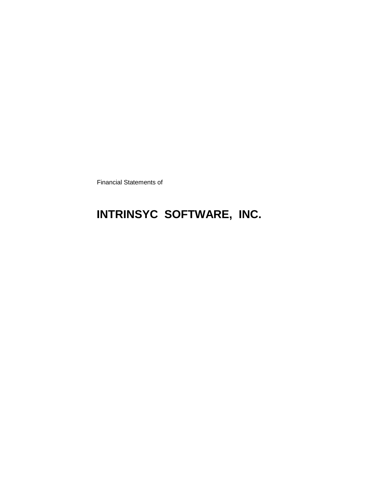Financial Statements of

# **INTRINSYC SOFTWARE, INC.**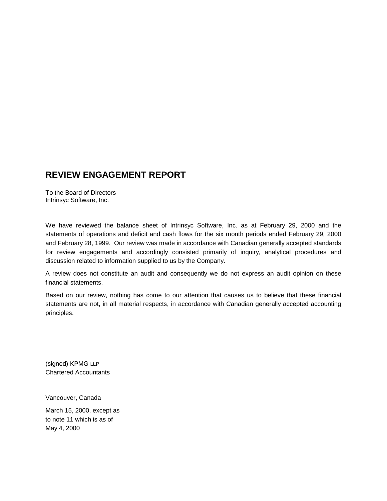# **REVIEW ENGAGEMENT REPORT**

To the Board of Directors Intrinsyc Software, Inc.

We have reviewed the balance sheet of Intrinsyc Software, Inc. as at February 29, 2000 and the statements of operations and deficit and cash flows for the six month periods ended February 29, 2000 and February 28, 1999. Our review was made in accordance with Canadian generally accepted standards for review engagements and accordingly consisted primarily of inquiry, analytical procedures and discussion related to information supplied to us by the Company.

A review does not constitute an audit and consequently we do not express an audit opinion on these financial statements.

Based on our review, nothing has come to our attention that causes us to believe that these financial statements are not, in all material respects, in accordance with Canadian generally accepted accounting principles.

(signed) KPMG LLP Chartered Accountants

Vancouver, Canada

March 15, 2000, except as to note 11 which is as of May 4, 2000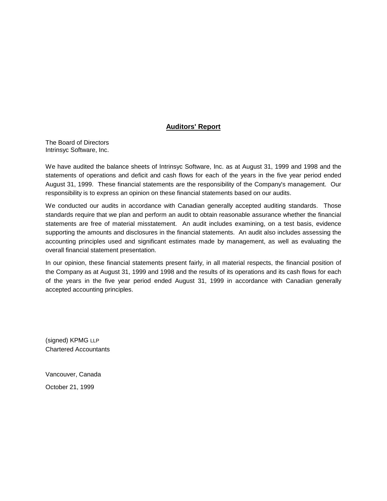# **Auditors' Report**

The Board of Directors Intrinsyc Software, Inc.

We have audited the balance sheets of Intrinsyc Software, Inc. as at August 31, 1999 and 1998 and the statements of operations and deficit and cash flows for each of the years in the five year period ended August 31, 1999. These financial statements are the responsibility of the Company's management. Our responsibility is to express an opinion on these financial statements based on our audits.

We conducted our audits in accordance with Canadian generally accepted auditing standards. Those standards require that we plan and perform an audit to obtain reasonable assurance whether the financial statements are free of material misstatement. An audit includes examining, on a test basis, evidence supporting the amounts and disclosures in the financial statements. An audit also includes assessing the accounting principles used and significant estimates made by management, as well as evaluating the overall financial statement presentation.

In our opinion, these financial statements present fairly, in all material respects, the financial position of the Company as at August 31, 1999 and 1998 and the results of its operations and its cash flows for each of the years in the five year period ended August 31, 1999 in accordance with Canadian generally accepted accounting principles.

(signed) KPMG LLP Chartered Accountants

Vancouver, Canada October 21, 1999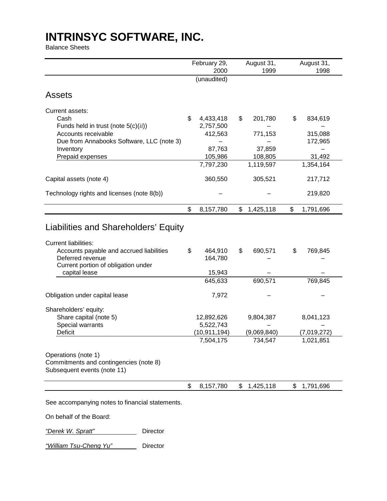Balance Sheets

|                                                                                              | February 29,            | August 31,      | August 31,      |
|----------------------------------------------------------------------------------------------|-------------------------|-----------------|-----------------|
|                                                                                              | 2000<br>(unaudited)     | 1999            | 1998            |
| <b>Assets</b>                                                                                |                         |                 |                 |
| Current assets:                                                                              |                         |                 |                 |
| Cash                                                                                         | \$<br>4,433,418         | \$<br>201,780   | \$<br>834,619   |
| Funds held in trust (note $5(c)(ii)$ )                                                       | 2,757,500               |                 |                 |
| Accounts receivable                                                                          | 412,563                 | 771,153         | 315,088         |
| Due from Annabooks Software, LLC (note 3)                                                    |                         |                 | 172,965         |
| Inventory                                                                                    | 87,763                  | 37,859          |                 |
| Prepaid expenses                                                                             | 105,986                 | 108,805         | 31,492          |
|                                                                                              | 7,797,230               | 1,119,597       | 1,354,164       |
| Capital assets (note 4)                                                                      | 360,550                 | 305,521         | 217,712         |
| Technology rights and licenses (note 8(b))                                                   |                         |                 | 219,820         |
|                                                                                              | \$<br>8,157,780         | \$<br>1,425,118 | \$<br>1,791,696 |
| Liabilities and Shareholders' Equity                                                         |                         |                 |                 |
| <b>Current liabilities:</b><br>Accounts payable and accrued liabilities                      | \$<br>464,910           | \$<br>690,571   | \$<br>769,845   |
| Deferred revenue<br>Current portion of obligation under                                      | 164,780                 |                 |                 |
| capital lease                                                                                | 15,943                  |                 |                 |
|                                                                                              | 645,633                 | 690,571         | 769,845         |
| Obligation under capital lease                                                               | 7,972                   |                 |                 |
|                                                                                              |                         |                 |                 |
| Shareholders' equity:                                                                        |                         |                 |                 |
| Share capital (note 5)<br>Special warrants                                                   | 12,892,626<br>5,522,743 | 9,804,387       | 8,041,123       |
| Deficit                                                                                      | (10,911,194)            | (9,069,840)     | (7,019,272)     |
|                                                                                              | 7,504,175               | 734,547         | 1,021,851       |
| Operations (note 1)<br>Commitments and contingencies (note 8)<br>Subsequent events (note 11) |                         |                 |                 |

See accompanying notes to financial statements.

On behalf of the Board:

*"Derek W. Spratt"* Director

*"William Tsu-Cheng Yu"* Director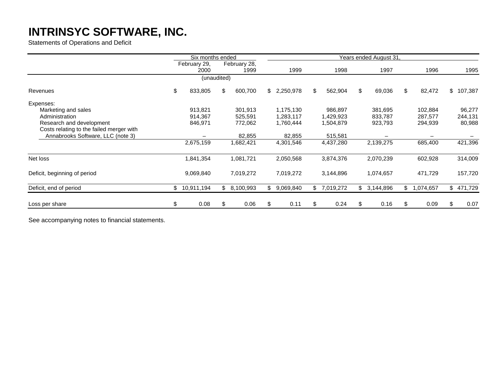Statements of Operations and Deficit

|                                          | Six months ended     |                      | Years ended August 31. |    |           |    |           |    |             |    |           |  |  |  |  |
|------------------------------------------|----------------------|----------------------|------------------------|----|-----------|----|-----------|----|-------------|----|-----------|--|--|--|--|
|                                          | February 29,<br>2000 | February 28,<br>1999 | 1999                   |    | 1998      |    | 1997      |    | 1996        |    | 1995      |  |  |  |  |
|                                          | (unaudited)          |                      |                        |    |           |    |           |    |             |    |           |  |  |  |  |
| Revenues                                 | \$<br>833,805        | \$<br>600,700        | \$2,250,978            | \$ | 562,904   | \$ | 69,036    | \$ | 82,472      |    | \$107,387 |  |  |  |  |
| Expenses:                                |                      |                      |                        |    |           |    |           |    |             |    |           |  |  |  |  |
| Marketing and sales                      | 913,821              | 301,913              | 1,175,130              |    | 986,897   |    | 381,695   |    | 102,884     |    | 96,277    |  |  |  |  |
| Administration                           | 914,367              | 525,591              | 1,283,117              |    | 1,429,923 |    | 833,787   |    | 287.577     |    | 244,131   |  |  |  |  |
| Research and development                 | 846,971              | 772,062              | 1,760,444              |    | 1,504,879 |    | 923,793   |    | 294,939     |    | 80,988    |  |  |  |  |
| Costs relating to the failed merger with |                      |                      |                        |    |           |    |           |    |             |    |           |  |  |  |  |
| Annabrooks Software, LLC (note 3)        |                      | 82,855               | 82,855                 |    | 515,581   |    |           |    |             |    |           |  |  |  |  |
|                                          | 2,675,159            | 1,682,421            | 4,301,546              |    | 4,437,280 |    | 2,139,275 |    | 685,400     |    | 421,396   |  |  |  |  |
| Net loss                                 | 1,841,354            | 1,081,721            | 2,050,568              |    | 3,874,376 |    | 2,070,239 |    | 602,928     |    | 314,009   |  |  |  |  |
| Deficit, beginning of period             | 9,069,840            | 7,019,272            | 7,019,272              |    | 3,144,896 |    | 1,074,657 |    | 471,729     |    | 157,720   |  |  |  |  |
| Deficit, end of period                   | \$10,911,194         | \$8,100,993          | \$<br>9,069,840        | \$ | 7,019,272 | \$ | 3,144,896 |    | \$1,074,657 |    | \$471,729 |  |  |  |  |
| Loss per share                           | \$<br>0.08           | \$<br>0.06           | \$<br>0.11             | \$ | 0.24      | \$ | 0.16      | \$ | 0.09        | \$ | 0.07      |  |  |  |  |

See accompanying notes to financial statements.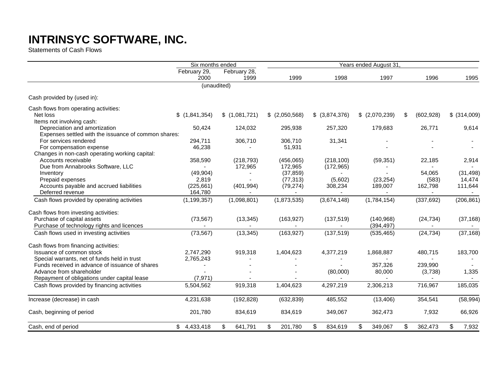Statements of Cash Flows

|                                                      | Six months ended     |                      |                   |                          | Years ended August 31 |                  |              |  |  |  |
|------------------------------------------------------|----------------------|----------------------|-------------------|--------------------------|-----------------------|------------------|--------------|--|--|--|
|                                                      | February 29,<br>2000 | February 28,<br>1999 | 1999              | 1998                     | 1997                  | 1996             | 1995         |  |  |  |
|                                                      |                      | (unaudited)          |                   |                          |                       |                  |              |  |  |  |
| Cash provided by (used in):                          |                      |                      |                   |                          |                       |                  |              |  |  |  |
| Cash flows from operating activities:                |                      |                      |                   |                          |                       |                  |              |  |  |  |
| Net loss                                             | \$(1,841,354)        | \$(1,081,721)        | $$$ $(2,050,568)$ | $$$ (3,874,376)          | \$ (2,070,239)        | \$<br>(602, 928) | \$ (314,009) |  |  |  |
| Items not involving cash:                            |                      |                      |                   |                          |                       |                  |              |  |  |  |
| Depreciation and amortization                        | 50,424               | 124,032              | 295,938           | 257,320                  | 179,683               | 26,771           | 9,614        |  |  |  |
| Expenses settled with the issuance of common shares: |                      |                      |                   |                          |                       |                  |              |  |  |  |
| For services rendered                                | 294,711              | 306,710              | 306,710           | 31,341                   |                       |                  |              |  |  |  |
| For compensation expense                             | 46,238               |                      | 51,931            |                          |                       |                  |              |  |  |  |
| Changes in non-cash operating working capital:       |                      |                      |                   |                          |                       |                  |              |  |  |  |
| Accounts receivable                                  | 358,590              | (218, 793)           | (456,065)         | (218, 100)               | (59, 351)             | 22,185           | 2,914        |  |  |  |
| Due from Annabrooks Software, LLC                    |                      | 172,965              | 172,965           | (172, 965)               |                       |                  |              |  |  |  |
| Inventory                                            | (49, 904)            |                      | (37, 859)         |                          |                       | 54,065           | (31, 498)    |  |  |  |
| Prepaid expenses                                     | 2,819                |                      | (77, 313)         | (5,602)                  | (23, 254)             | (583)            | 14,474       |  |  |  |
| Accounts payable and accrued liabilities             | (225, 661)           | (401, 994)           | (79, 274)         | 308,234                  | 189,007               | 162,798          | 111,644      |  |  |  |
| Deferred revenue                                     | 164,780              |                      | $\sim$            | $\overline{\phantom{a}}$ | $\blacksquare$        | $\blacksquare$   | $\sim$       |  |  |  |
| Cash flows provided by operating activities          | (1, 199, 357)        | (1,098,801)          | (1,873,535)       | (3,674,148)              | (1,784,154)           | (337, 692)       | (206, 861)   |  |  |  |
| Cash flows from investing activities:                |                      |                      |                   |                          |                       |                  |              |  |  |  |
| Purchase of capital assets                           | (73, 567)            | (13, 345)            | (163, 927)        | (137, 519)               | (140, 968)            | (24, 734)        | (37, 168)    |  |  |  |
| Purchase of technology rights and licences           |                      |                      |                   |                          | (394, 497)            |                  |              |  |  |  |
| Cash flows used in investing activities              | (73, 567)            | (13, 345)            | (163, 927)        | (137, 519)               | (535, 465)            | (24, 734)        | (37, 168)    |  |  |  |
| Cash flows from financing activities:                |                      |                      |                   |                          |                       |                  |              |  |  |  |
| Issuance of common stock                             | 2,747,290            | 919,318              | 1,404,623         | 4,377,219                | 1,868,887             | 480,715          | 183,700      |  |  |  |
| Special warrants, net of funds held in trust         | 2,765,243            |                      |                   |                          |                       |                  |              |  |  |  |
| Funds received in advance of issuance of shares      |                      |                      |                   |                          | 357,326               | 239,990          |              |  |  |  |
| Advance from shareholder                             |                      |                      |                   | (80,000)                 | 80,000                | (3,738)          | 1,335        |  |  |  |
| Repayment of obligations under capital lease         | (7, 971)             |                      |                   |                          |                       | $\overline{a}$   |              |  |  |  |
| Cash flows provided by financing activities          | 5,504,562            | 919,318              | 1,404,623         | 4,297,219                | 2,306,213             | 716,967          | 185,035      |  |  |  |
| Increase (decrease) in cash                          | 4,231,638            | (192, 828)           | (632, 839)        | 485,552                  | (13, 406)             | 354,541          | (58, 994)    |  |  |  |
|                                                      |                      |                      |                   |                          |                       |                  |              |  |  |  |
| Cash, beginning of period                            | 201,780              | 834,619              | 834,619           | 349,067                  | 362,473               | 7,932            | 66,926       |  |  |  |
| Cash, end of period                                  | \$4,433,418          | \$<br>641,791        | \$<br>201,780     | \$<br>834,619            | \$<br>349,067         | \$<br>362,473    | \$<br>7,932  |  |  |  |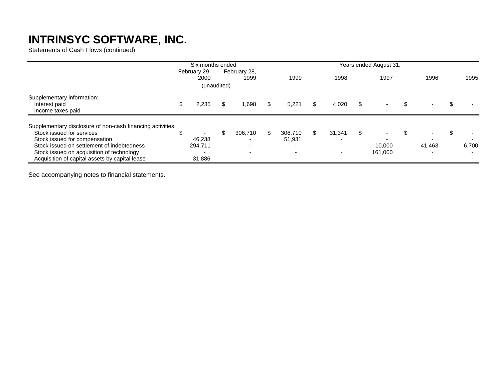Statements of Cash Flows (continued)

|                                                                                                                                           | Six months ended                   |    |                          |                   |   |                          | Years ended August 31,   |  |                          |  |       |
|-------------------------------------------------------------------------------------------------------------------------------------------|------------------------------------|----|--------------------------|-------------------|---|--------------------------|--------------------------|--|--------------------------|--|-------|
|                                                                                                                                           | February 29,<br>2000               |    | February 28,<br>1999     | 1999              |   | 1998                     | 1997                     |  | 1996                     |  | 1995  |
|                                                                                                                                           | (unaudited)                        |    |                          |                   |   |                          |                          |  |                          |  |       |
| Supplementary information:<br>Interest paid<br>Income taxes paid                                                                          | \$<br>2,235<br>-                   | \$ | 1,698                    | 5,221             | S | 4,020                    | $\overline{\phantom{0}}$ |  | $\overline{\phantom{a}}$ |  |       |
| Supplementary disclosure of non-cash financing activities:<br>Stock issued for services<br>Stock issued for compensation                  | $\overline{\phantom{0}}$<br>46,238 | ß. | 306,710                  | 306.710<br>51,931 |   | 31.341                   |                          |  |                          |  |       |
| Stock issued on settlement of indebtedness<br>Stock issued on acquisition of technology<br>Acquisition of capital assets by capital lease | 294,711<br>-<br>31,886             |    | $\overline{\phantom{0}}$ | $\blacksquare$    |   | $\overline{\phantom{0}}$ | 10,000<br>161,000        |  | 41,463                   |  | 6,700 |

See accompanying notes to financial statements.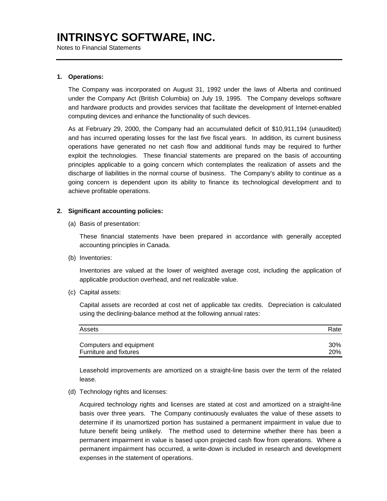Notes to Financial Statements

#### **1. Operations:**

The Company was incorporated on August 31, 1992 under the laws of Alberta and continued under the Company Act (British Columbia) on July 19, 1995. The Company develops software and hardware products and provides services that facilitate the development of Internet-enabled computing devices and enhance the functionality of such devices.

As at February 29, 2000, the Company had an accumulated deficit of \$10,911,194 (unaudited) and has incurred operating losses for the last five fiscal years. In addition, its current business operations have generated no net cash flow and additional funds may be required to further exploit the technologies. These financial statements are prepared on the basis of accounting principles applicable to a going concern which contemplates the realization of assets and the discharge of liabilities in the normal course of business. The Company's ability to continue as a going concern is dependent upon its ability to finance its technological development and to achieve profitable operations.

#### **2. Significant accounting policies:**

(a) Basis of presentation:

These financial statements have been prepared in accordance with generally accepted accounting principles in Canada.

(b) Inventories:

Inventories are valued at the lower of weighted average cost, including the application of applicable production overhead, and net realizable value.

(c) Capital assets:

Capital assets are recorded at cost net of applicable tax credits. Depreciation is calculated using the declining-balance method at the following annual rates:

| Assets                  | Rate |
|-------------------------|------|
| Computers and equipment | 30%  |
| Furniture and fixtures  | 20%  |

Leasehold improvements are amortized on a straight-line basis over the term of the related lease.

(d) Technology rights and licenses:

Acquired technology rights and licenses are stated at cost and amortized on a straight-line basis over three years. The Company continuously evaluates the value of these assets to determine if its unamortized portion has sustained a permanent impairment in value due to future benefit being unlikely. The method used to determine whether there has been a permanent impairment in value is based upon projected cash flow from operations. Where a permanent impairment has occurred, a write-down is included in research and development expenses in the statement of operations.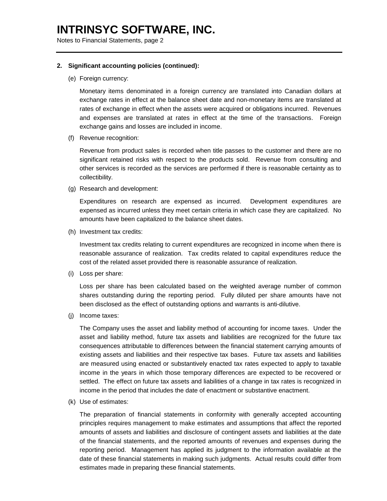Notes to Financial Statements, page 2

#### **2. Significant accounting policies (continued):**

(e) Foreign currency:

Monetary items denominated in a foreign currency are translated into Canadian dollars at exchange rates in effect at the balance sheet date and non-monetary items are translated at rates of exchange in effect when the assets were acquired or obligations incurred. Revenues and expenses are translated at rates in effect at the time of the transactions. Foreign exchange gains and losses are included in income.

(f) Revenue recognition:

Revenue from product sales is recorded when title passes to the customer and there are no significant retained risks with respect to the products sold. Revenue from consulting and other services is recorded as the services are performed if there is reasonable certainty as to collectibility.

(g) Research and development:

Expenditures on research are expensed as incurred. Development expenditures are expensed as incurred unless they meet certain criteria in which case they are capitalized. No amounts have been capitalized to the balance sheet dates.

(h) Investment tax credits:

Investment tax credits relating to current expenditures are recognized in income when there is reasonable assurance of realization. Tax credits related to capital expenditures reduce the cost of the related asset provided there is reasonable assurance of realization.

(i) Loss per share:

Loss per share has been calculated based on the weighted average number of common shares outstanding during the reporting period. Fully diluted per share amounts have not been disclosed as the effect of outstanding options and warrants is anti-dilutive.

(j) Income taxes:

The Company uses the asset and liability method of accounting for income taxes. Under the asset and liability method, future tax assets and liabilities are recognized for the future tax consequences attributable to differences between the financial statement carrying amounts of existing assets and liabilities and their respective tax bases. Future tax assets and liabilities are measured using enacted or substantively enacted tax rates expected to apply to taxable income in the years in which those temporary differences are expected to be recovered or settled. The effect on future tax assets and liabilities of a change in tax rates is recognized in income in the period that includes the date of enactment or substantive enactment.

(k) Use of estimates:

The preparation of financial statements in conformity with generally accepted accounting principles requires management to make estimates and assumptions that affect the reported amounts of assets and liabilities and disclosure of contingent assets and liabilities at the date of the financial statements, and the reported amounts of revenues and expenses during the reporting period. Management has applied its judgment to the information available at the date of these financial statements in making such judgments. Actual results could differ from estimates made in preparing these financial statements.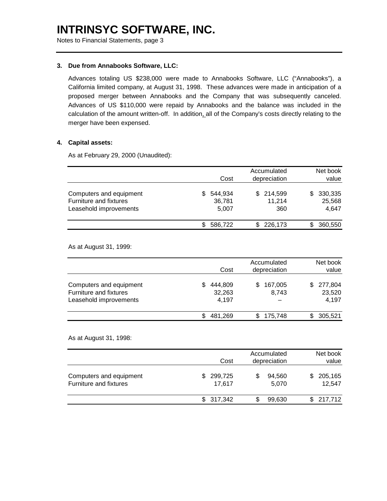Notes to Financial Statements, page 3

#### **3. Due from Annabooks Software, LLC:**

Advances totaling US \$238,000 were made to Annabooks Software, LLC ("Annabooks"), a California limited company, at August 31, 1998. These advances were made in anticipation of a proposed merger between Annabooks and the Company that was subsequently canceled. Advances of US \$110,000 were repaid by Annabooks and the balance was included in the calculation of the amount written-off. In addition, all of the Company's costs directly relating to the merger have been expensed.

### **4. Capital assets:**

As at February 29, 2000 (Unaudited):

|                                                                             | Cost                       | Accumulated<br>depreciation | Net book<br>value               |
|-----------------------------------------------------------------------------|----------------------------|-----------------------------|---------------------------------|
| Computers and equipment<br>Furniture and fixtures<br>Leasehold improvements | 544,934<br>36,781<br>5,007 | \$214,599<br>11,214<br>360  | 330,335<br>S<br>25,568<br>4.647 |
|                                                                             | 586,722                    | \$226,173                   | 360,550                         |

As at August 31, 1999:

|                                                                             | Cost                       | Accumulated<br>depreciation | Net book<br>value                 |
|-----------------------------------------------------------------------------|----------------------------|-----------------------------|-----------------------------------|
| Computers and equipment<br>Furniture and fixtures<br>Leasehold improvements | 444,809<br>32,263<br>4,197 | 167,005<br>S<br>8.743       | 277,804<br>\$.<br>23,520<br>4,197 |
|                                                                             | 481.269                    | \$175,748                   | 305,521                           |

# As at August 31, 1998:

|                                                   |     | Cost              |     | Accumulated<br>depreciation |    | Net book<br>value |
|---------------------------------------------------|-----|-------------------|-----|-----------------------------|----|-------------------|
| Computers and equipment<br>Furniture and fixtures | \$. | 299,725<br>17.617 | S   | 94,560<br>5.070             | S  | 205,165<br>12,547 |
|                                                   |     | \$317,342         | \$. | 99,630                      | \$ | 217,712           |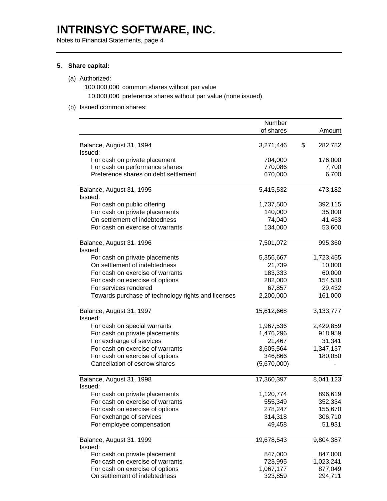Notes to Financial Statements, page 4

### **5. Share capital:**

# (a) Authorized:

100,000,000 common shares without par value 10,000,000 preference shares without par value (none issued)

### (b) Issued common shares:

|                                                    | Number      |    |           |  |
|----------------------------------------------------|-------------|----|-----------|--|
|                                                    | of shares   |    | Amount    |  |
| Balance, August 31, 1994<br>Issued:                | 3,271,446   | \$ | 282,782   |  |
| For cash on private placement                      | 704,000     |    | 176,000   |  |
| For cash on performance shares                     | 770,086     |    | 7,700     |  |
| Preference shares on debt settlement               | 670,000     |    | 6,700     |  |
| Balance, August 31, 1995                           | 5,415,532   |    | 473,182   |  |
| Issued:                                            |             |    |           |  |
| For cash on public offering                        | 1,737,500   |    | 392,115   |  |
| For cash on private placements                     | 140,000     |    | 35,000    |  |
| On settlement of indebtedness                      | 74,040      |    | 41,463    |  |
| For cash on exercise of warrants                   | 134,000     |    | 53,600    |  |
| Balance, August 31, 1996<br>Issued:                | 7,501,072   |    | 995,360   |  |
| For cash on private placements                     | 5,356,667   |    | 1,723,455 |  |
| On settlement of indebtedness                      | 21,739      |    | 10,000    |  |
| For cash on exercise of warrants                   | 183,333     |    | 60,000    |  |
| For cash on exercise of options                    | 282,000     |    | 154,530   |  |
| For services rendered                              | 67,857      |    | 29,432    |  |
| Towards purchase of technology rights and licenses | 2,200,000   |    | 161,000   |  |
| Balance, August 31, 1997                           | 15,612,668  |    | 3,133,777 |  |
| Issued:                                            |             |    |           |  |
| For cash on special warrants                       | 1,967,536   |    | 2,429,859 |  |
| For cash on private placements                     | 1,476,296   |    | 918,959   |  |
| For exchange of services                           | 21,467      |    | 31,341    |  |
| For cash on exercise of warrants                   | 3,605,564   |    | 1,347,137 |  |
| For cash on exercise of options                    | 346,866     |    | 180,050   |  |
| Cancellation of escrow shares                      | (5,670,000) |    |           |  |
| Balance, August 31, 1998<br>Issued:                | 17,360,397  |    | 8,041,123 |  |
| For cash on private placements                     | 1,120,774   |    | 896,619   |  |
| For cash on exercise of warrants                   | 555,349     |    | 352,334   |  |
| For cash on exercise of options                    | 278,247     |    | 155,670   |  |
| For exchange of services                           | 314,318     |    | 306,710   |  |
| For employee compensation                          | 49,458      |    | 51,931    |  |
| Balance, August 31, 1999                           | 19,678,543  |    | 9,804,387 |  |
| Issued:                                            |             |    |           |  |
| For cash on private placement                      | 847,000     |    | 847,000   |  |
| For cash on exercise of warrants                   | 723,995     |    | 1,023,241 |  |
| For cash on exercise of options                    | 1,067,177   |    | 877,049   |  |
| On settlement of indebtedness                      | 323,859     |    | 294,711   |  |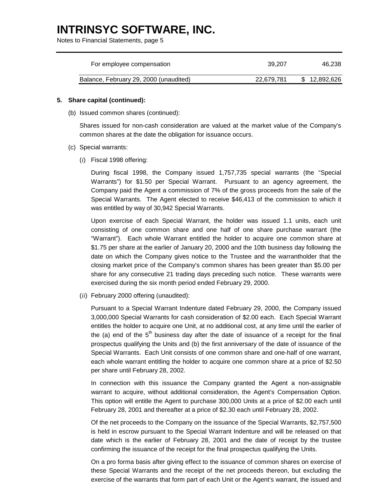Notes to Financial Statements, page 5

| For employee compensation              | 39.207     | 46.238       |
|----------------------------------------|------------|--------------|
| Balance, February 29, 2000 (unaudited) | 22.679.781 | \$12,892,626 |

### **5. Share capital (continued):**

(b) Issued common shares (continued):

Shares issued for non-cash consideration are valued at the market value of the Company's common shares at the date the obligation for issuance occurs.

- (c) Special warrants:
	- (*i*) Fiscal 1998 offering:

During fiscal 1998, the Company issued 1,757,735 special warrants (the "Special Warrants") for \$1.50 per Special Warrant. Pursuant to an agency agreement, the Company paid the Agent a commission of 7% of the gross proceeds from the sale of the Special Warrants. The Agent elected to receive \$46,413 of the commission to which it was entitled by way of 30,942 Special Warrants.

Upon exercise of each Special Warrant, the holder was issued 1.1 units, each unit consisting of one common share and one half of one share purchase warrant (the "Warrant"). Each whole Warrant entitled the holder to acquire one common share at \$1.75 per share at the earlier of January 20, 2000 and the 10th business day following the date on which the Company gives notice to the Trustee and the warrantholder that the closing market price of the Company's common shares has been greater than \$5.00 per share for any consecutive 21 trading days preceding such notice. These warrants were exercised during the six month period ended February 29, 2000.

(*ii*) February 2000 offering (unaudited):

Pursuant to a Special Warrant Indenture dated February 29, 2000, the Company issued 3,000,000 Special Warrants for cash consideration of \$2.00 each. Each Special Warrant entitles the holder to acquire one Unit, at no additional cost, at any time until the earlier of the (a) end of the  $5<sup>th</sup>$  business day after the date of issuance of a receipt for the final prospectus qualifying the Units and (b) the first anniversary of the date of issuance of the Special Warrants. Each Unit consists of one common share and one-half of one warrant, each whole warrant entitling the holder to acquire one common share at a price of \$2.50 per share until February 28, 2002.

In connection with this issuance the Company granted the Agent a non-assignable warrant to acquire, without additional consideration, the Agent's Compensation Option. This option will entitle the Agent to purchase 300,000 Units at a price of \$2.00 each until February 28, 2001 and thereafter at a price of \$2.30 each until February 28, 2002.

Of the net proceeds to the Company on the issuance of the Special Warrants, \$2,757,500 is held in escrow pursuant to the Special Warrant Indenture and will be released on that date which is the earlier of February 28, 2001 and the date of receipt by the trustee confirming the issuance of the receipt for the final prospectus qualifying the Units.

On a pro forma basis after giving effect to the issuance of common shares on exercise of these Special Warrants and the receipt of the net proceeds thereon, but excluding the exercise of the warrants that form part of each Unit or the Agent's warrant, the issued and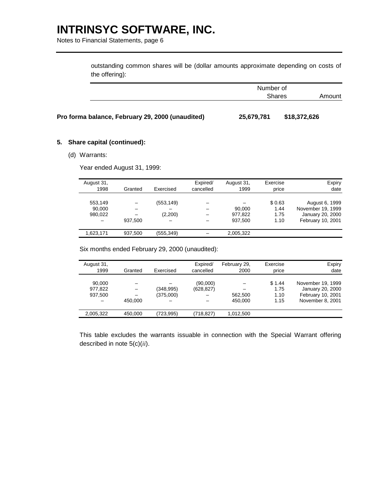Notes to Financial Statements, page 6

outstanding common shares will be (dollar amounts approximate depending on costs of the offering):

|                                                  | Number of  | <b>Shares</b> | Amount |  |
|--------------------------------------------------|------------|---------------|--------|--|
| Pro forma balance, February 29, 2000 (unaudited) | 25,679,781 | \$18,372,626  |        |  |

(d) Warrants:

**5. Share capital (continued):**

Year ended August 31, 1999:

| Expiry<br>date                                                               | Exercise<br>price              | August 31,<br>1999           | Expired/<br>cancelled | Exercised             | Granted | August 31,<br>1998                |
|------------------------------------------------------------------------------|--------------------------------|------------------------------|-----------------------|-----------------------|---------|-----------------------------------|
| August 6, 1999<br>November 19, 1999<br>January 20, 2000<br>February 10, 2001 | \$0.63<br>1.44<br>1.75<br>1.10 | 90.000<br>977,822<br>937,500 |                       | (553, 149)<br>(2,200) | 937.500 | 553,149<br>90.000<br>980,022<br>- |
|                                                                              |                                | 2,005,322                    |                       | (555, 349)            | 937,500 | 1,623,171                         |

Six months ended February 29, 2000 (unaudited):

| August 31,<br>1999                | Granted           | Exercised              | Expired/<br>cancelled      | February 29,<br>2000 | Exercise<br>price              | Expiry<br>date                                                                 |
|-----------------------------------|-------------------|------------------------|----------------------------|----------------------|--------------------------------|--------------------------------------------------------------------------------|
| 90.000<br>977,822<br>937,500<br>- | -<br>-<br>450.000 | (348,995)<br>(375,000) | (90,000)<br>(628,827)<br>- | 562,500<br>450.000   | \$1.44<br>1.75<br>1.10<br>1.15 | November 19, 1999<br>January 20, 2000<br>February 10, 2001<br>November 8, 2001 |
| 2,005,322                         | 450.000           | (723,995)              | (718.827)                  | 1.012.500            |                                |                                                                                |

This table excludes the warrants issuable in connection with the Special Warrant offering described in note 5(c)(*ii*).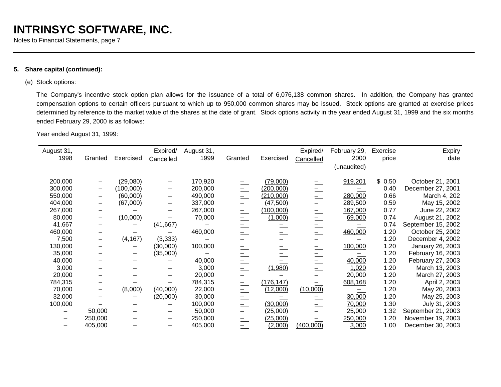Notes to Financial Statements, page 7

# **5. Share capital (continued):**

# (e) Stock options:

The Company's incentive stock option plan allows for the issuance of a total of 6,076,138 common shares. In addition, the Company has granted compensation options to certain officers pursuant to which up to 950,000 common shares may be issued. Stock options are granted at exercise prices determined by reference to the market value of the shares at the date of grant. Stock options activity in the year ended August 31, 1999 and the six months ended February 29, 2000 is as follows:

Year ended August 31, 1999:

| August 31, |         |           | Expired/  | August 31, |               |            | Expired/  | February 29, | Exercise | <b>Expiry</b>      |
|------------|---------|-----------|-----------|------------|---------------|------------|-----------|--------------|----------|--------------------|
| 1998       | Granted | Exercised | Cancelled | 1999       | Granted       | Exercised  | Cancelled | 2000         | price    | date               |
|            |         |           |           |            |               |            |           | (unaudited)  |          |                    |
| 200,000    |         | (29,080)  |           | 170,920    |               | (79,000)   |           | 919,201      | \$0.50   | October 21, 2001   |
| 300,000    | —       | (100,000) |           | 200,000    |               | (200,000)  |           |              | 0.40     | December 27, 2001  |
| 550,000    |         | (60,000)  |           | 490,000    | $=$           | (210,000)  |           | 280,000      | 0.66     | March 4, 202       |
| 404,000    |         | (67,000)  |           | 337,000    | $=$           | (47,500)   | $=$       | 289,500      | 0.59     | May 15, 2002       |
| 267,000    |         |           |           | 267,000    | $=$           | (100,000)  | $=$       | 167,000      | 0.77     | June 22, 2002      |
| 80,000     |         | (10,000)  |           | 70,000     | $=$           | (1,000)    | $=$       | 69,000       | 0.74     | August 21, 2002    |
| 41,667     |         |           | (41, 667) |            | $=$           |            | $=$       |              | 0.74     | September 15, 2002 |
| 460,000    |         |           |           | 460,000    | $=$           |            | $=$       | 460,000      | 1.20     | October 25, 2002   |
| 7,500      |         | (4, 167)  | (3, 333)  |            |               |            |           |              | 1.20     | December 4, 2002   |
| 130,000    |         |           | (30,000)  | 100,000    | $=$           |            | $\equiv$  | 100,000      | 1.20     | January 26, 2003   |
| 35,000     |         | —         | (35,000)  |            | $=$           |            |           |              | 1.20     | February 16, 2003  |
| 40,000     |         |           |           | 40,000     |               |            | $=$       | 40,000       | 1.20     | February 27, 2003  |
| 3,000      |         |           |           | 3,000      | $\frac{1}{2}$ | (1,980)    |           | 1,020        | 1.20     | March 13, 2003     |
| 20,000     |         |           |           | 20,000     |               |            |           | 20,000       | 1.20     | March 27, 2003     |
| 784,315    |         |           |           | 784,315    | $\equiv$      | (176, 147) |           | 608,168      | 1.20     | April 2, 2003      |
| 70,000     |         | (8,000)   | (40,000)  | 22,000     | $=$           | (12,000)   | (10,000)  |              | 1.20     | May 20, 2003       |
| 32,000     |         |           | (20,000)  | 30,000     |               |            |           | 30,000       | 1.20     | May 25, 2003       |
| 100,000    |         |           |           | 100,000    | $=$           | (30,000)   |           | 70,000       | 1.30     | July 31, 2003      |
|            | 50,000  |           |           | 50,000     |               | (25,000)   |           | 25,000       | 1.32     | September 21, 2003 |
|            | 250,000 |           |           | 250,000    | $=$           | (25,000)   |           | 250,000      | 1.20     | November 19, 2003  |
|            | 405,000 |           |           | 405,000    | —             | (2,000)    | (400,000) | 3,000        | 1.00     | December 30, 2003  |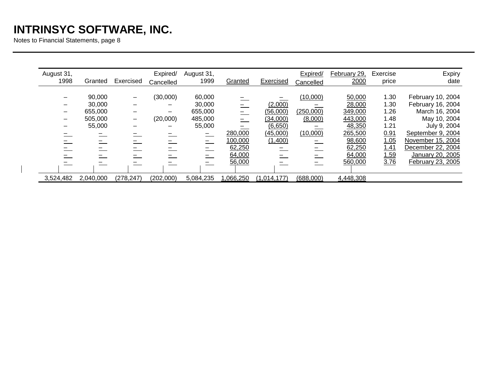Notes to Financial Statements, page 8

| Expiry<br>date                                                                                                                                          | Exercise<br>price                                                   | February 29,<br>2000                                                            | Expired/<br>Cancelled                               | Exercised                                                         | Granted                      | August 31,<br>1999                                                              | Expired/<br>Cancelled | Exercised                                                                        | Granted                                          | August 31,<br>1998 |
|---------------------------------------------------------------------------------------------------------------------------------------------------------|---------------------------------------------------------------------|---------------------------------------------------------------------------------|-----------------------------------------------------|-------------------------------------------------------------------|------------------------------|---------------------------------------------------------------------------------|-----------------------|----------------------------------------------------------------------------------|--------------------------------------------------|--------------------|
| February 10, 2004<br>February 16, 2004<br>March 16, 2004<br>May 10, 2004<br>July 9, 2004<br>September 9, 2004<br>November 15, 2004<br>December 22, 2004 | 1.30<br>1.30<br>1.26<br>1.48<br>1.21<br><u>0.91</u><br>1.05<br>1.41 | 50,000<br>28,000<br>349,000<br>443,000<br>48,350<br>265,500<br>98,600<br>62,250 | (10,000)<br>(250,000)<br>(8,000)<br>(10,000)<br>$=$ | (2,000)<br>(56,000)<br>(34,000)<br>(6,650)<br>(45,000)<br>(1,400) | 280,000<br>100,000<br>62,250 | 60,000<br>30,000<br>655,000<br>485,000<br>55,000<br>$\sim$<br>$\qquad \qquad =$ | (30,000)<br>(20,000)  | $\overline{\phantom{0}}$<br>$\overline{\phantom{0}}$<br>$\overline{\phantom{0}}$ | 90,000<br>30,000<br>655,000<br>505,000<br>55,000 |                    |
| January 20, 2005<br>February 23, 2005                                                                                                                   | 1.59<br>3.76                                                        | 64,000<br>560,000<br>4,448,308                                                  | (688,000)                                           | (1,014,177)                                                       | 64,000<br>56,000<br>,066,250 | 5,084,235                                                                       | (202,000)             | (278, 247)                                                                       | 2,040,000                                        | 3,524,482          |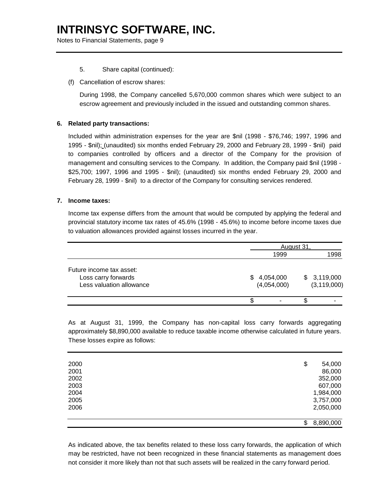Notes to Financial Statements, page 9

- 5. Share capital (continued):
- (f) Cancellation of escrow shares:

During 1998, the Company cancelled 5,670,000 common shares which were subject to an escrow agreement and previously included in the issued and outstanding common shares.

# **6. Related party transactions:**

Included within administration expenses for the year are \$nil (1998 - \$76,746; 1997, 1996 and 1995 - \$nil); (unaudited) six months ended February 29, 2000 and February 28, 1999 - \$nil) paid to companies controlled by officers and a director of the Company for the provision of management and consulting services to the Company. In addition, the Company paid \$nil (1998 - \$25,700; 1997, 1996 and 1995 - \$nil); (unaudited) six months ended February 29, 2000 and February 28, 1999 - \$nil) to a director of the Company for consulting services rendered.

### **7. Income taxes:**

Income tax expense differs from the amount that would be computed by applying the federal and provincial statutory income tax rates of 45.6% (1998 - 45.6%) to income before income taxes due to valuation allowances provided against losses incurred in the year.

|                          |             | August 31 |               |
|--------------------------|-------------|-----------|---------------|
|                          | 1999        |           | 1998          |
| Future income tax asset: |             |           |               |
| Loss carry forwards      | \$4,054,000 |           | \$3,119,000   |
| Less valuation allowance | (4,054,000) |           | (3, 119, 000) |
|                          |             |           |               |

As at August 31, 1999, the Company has non-capital loss carry forwards aggregating approximately \$8,890,000 available to reduce taxable income otherwise calculated in future years. These losses expire as follows:

| 2000 | \$<br>54,000    |
|------|-----------------|
| 2001 | 86,000          |
| 2002 | 352,000         |
| 2003 | 607,000         |
| 2004 | 1,984,000       |
| 2005 | 3,757,000       |
| 2006 | 2,050,000       |
|      |                 |
|      | \$<br>8,890,000 |

As indicated above, the tax benefits related to these loss carry forwards, the application of which may be restricted, have not been recognized in these financial statements as management does not consider it more likely than not that such assets will be realized in the carry forward period.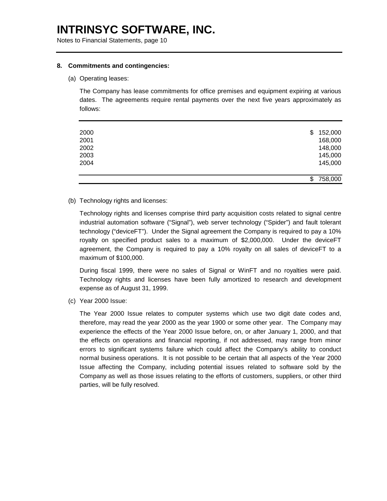Notes to Financial Statements, page 10

#### **8. Commitments and contingencies:**

#### (a) Operating leases:

The Company has lease commitments for office premises and equipment expiring at various dates. The agreements require rental payments over the next five years approximately as follows:

|      | \$<br>758,000 |
|------|---------------|
| 2004 | 145,000       |
| 2003 | 145,000       |
| 2002 | 148,000       |
| 2001 | 168,000       |
| 2000 | \$<br>152,000 |

(b) Technology rights and licenses:

Technology rights and licenses comprise third party acquisition costs related to signal centre industrial automation software ("Signal"), web server technology ("Spider") and fault tolerant technology ("deviceFT"). Under the Signal agreement the Company is required to pay a 10% royalty on specified product sales to a maximum of \$2,000,000. Under the deviceFT agreement, the Company is required to pay a 10% royalty on all sales of deviceFT to a maximum of \$100,000.

During fiscal 1999, there were no sales of Signal or WinFT and no royalties were paid. Technology rights and licenses have been fully amortized to research and development expense as of August 31, 1999.

(c) Year 2000 Issue:

The Year 2000 Issue relates to computer systems which use two digit date codes and, therefore, may read the year 2000 as the year 1900 or some other year. The Company may experience the effects of the Year 2000 Issue before, on, or after January 1, 2000, and that the effects on operations and financial reporting, if not addressed, may range from minor errors to significant systems failure which could affect the Company's ability to conduct normal business operations. It is not possible to be certain that all aspects of the Year 2000 Issue affecting the Company, including potential issues related to software sold by the Company as well as those issues relating to the efforts of customers, suppliers, or other third parties, will be fully resolved.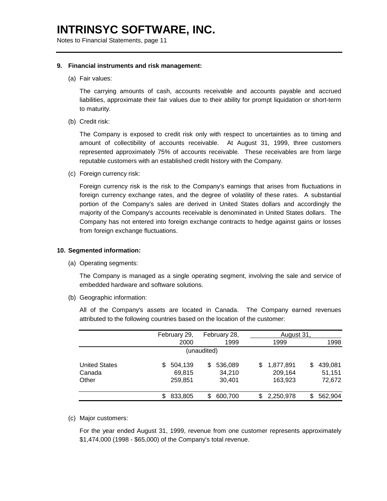Notes to Financial Statements, page 11

#### **9. Financial instruments and risk management:**

(a) Fair values:

The carrying amounts of cash, accounts receivable and accounts payable and accrued liabilities, approximate their fair values due to their ability for prompt liquidation or short-term to maturity.

(b) Credit risk:

The Company is exposed to credit risk only with respect to uncertainties as to timing and amount of collectibility of accounts receivable. At August 31, 1999, three customers represented approximately 75% of accounts receivable. These receivables are from large reputable customers with an established credit history with the Company.

(c) Foreign currency risk:

Foreign currency risk is the risk to the Company's earnings that arises from fluctuations in foreign currency exchange rates, and the degree of volatility of these rates. A substantial portion of the Company's sales are derived in United States dollars and accordingly the majority of the Company's accounts receivable is denominated in United States dollars. The Company has not entered into foreign exchange contracts to hedge against gains or losses from foreign exchange fluctuations.

#### **10. Segmented information:**

(a) Operating segments:

The Company is managed as a single operating segment, involving the sale and service of embedded hardware and software solutions.

(b) Geographic information:

All of the Company's assets are located in Canada. The Company earned revenues attributed to the following countries based on the location of the customer:

|                                         |  | February 29,                 |   | February 28,                |   | August 31,                      |   |                             |  |  |
|-----------------------------------------|--|------------------------------|---|-----------------------------|---|---------------------------------|---|-----------------------------|--|--|
|                                         |  | 2000                         |   | 1999                        |   | 1999                            |   | 1998                        |  |  |
| (unaudited)                             |  |                              |   |                             |   |                                 |   |                             |  |  |
| <b>United States</b><br>Canada<br>Other |  | 504,139<br>69,815<br>259,851 | S | 536,089<br>34,210<br>30,401 | S | 1,877,891<br>209,164<br>163,923 | S | 439,081<br>51,151<br>72,672 |  |  |
|                                         |  | 833,805                      |   | 600,700                     | S | 2,250,978                       | S | 562,904                     |  |  |

(c) Major customers:

For the year ended August 31, 1999, revenue from one customer represents approximately \$1,474,000 (1998 - \$65,000) of the Company's total revenue.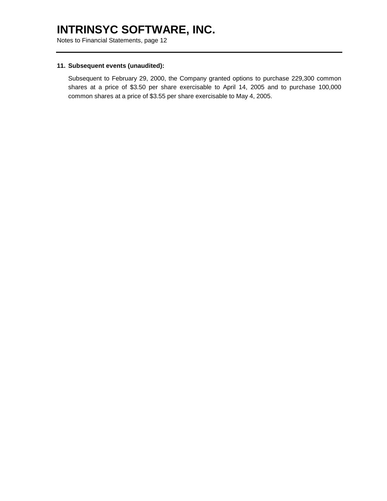Notes to Financial Statements, page 12

#### **11. Subsequent events (unaudited):**

Subsequent to February 29, 2000, the Company granted options to purchase 229,300 common shares at a price of \$3.50 per share exercisable to April 14, 2005 and to purchase 100,000 common shares at a price of \$3.55 per share exercisable to May 4, 2005.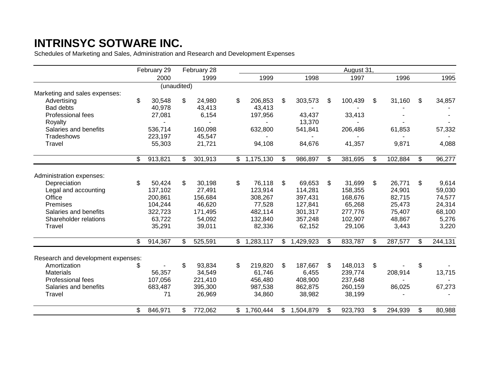Schedules of Marketing and Sales, Administration and Research and Development Expenses

|                                    | February 29   |              | February 28 |                |             |                 | August 31,    |               |               |
|------------------------------------|---------------|--------------|-------------|----------------|-------------|-----------------|---------------|---------------|---------------|
|                                    | 2000          |              | 1999        |                | 1999        | 1998            | 1997          | 1996          | 1995          |
|                                    | (unaudited)   |              |             |                |             |                 |               |               |               |
| Marketing and sales expenses:      |               |              |             |                |             |                 |               |               |               |
| Advertising                        | \$<br>30,548  | \$           | 24,980      | \$             | 206,853     | \$<br>303,573   | \$<br>100,439 | \$<br>31,160  | \$<br>34,857  |
| Bad debts                          | 40,978        |              | 43,413      |                | 43,413      |                 |               |               |               |
| Professional fees                  | 27,081        |              | 6,154       |                | 197,956     | 43,437          | 33,413        |               |               |
| Royalty                            |               |              |             |                |             | 13,370          |               |               |               |
| Salaries and benefits              | 536,714       |              | 160,098     |                | 632,800     | 541,841         | 206,486       | 61,853        | 57,332        |
| Tradeshows                         | 223,197       |              | 45,547      |                |             |                 |               |               |               |
| Travel                             | 55,303        |              | 21,721      |                | 94,108      | 84,676          | 41,357        | 9,871         | 4,088         |
|                                    | \$<br>913,821 | $\mathbb{S}$ | 301,913     | $\mathfrak{S}$ | 1,175,130   | \$<br>986,897   | \$<br>381,695 | \$<br>102,884 | \$<br>96,277  |
|                                    |               |              |             |                |             |                 |               |               |               |
| Administration expenses:           |               |              |             |                |             |                 |               |               |               |
| Depreciation                       | \$<br>50,424  | \$           | 30,198      | \$             | 76,118      | \$<br>69,653    | \$<br>31,699  | \$<br>26,771  | \$<br>9,614   |
| Legal and accounting               | 137,102       |              | 27,491      |                | 123,914     | 114,281         | 158,355       | 24,901        | 59,030        |
| Office                             | 200,861       |              | 156,684     |                | 308,267     | 397,431         | 168,676       | 82,715        | 74,577        |
| Premises                           | 104,244       |              | 46,620      |                | 77,528      | 127,841         | 65,268        | 25,473        | 24,314        |
| Salaries and benefits              | 322,723       |              | 171,495     |                | 482,114     | 301,317         | 277,776       | 75,407        | 68,100        |
| Shareholder relations              | 63,722        |              | 54,092      |                | 132,840     | 357,248         | 102,907       | 48,867        | 5,276         |
| Travel                             | 35,291        |              | 39,011      |                | 82,336      | 62,152          | 29,106        | 3,443         | 3,220         |
|                                    | \$<br>914,367 | \$           | 525,591     |                | \$1,283,117 | \$<br>1,429,923 | \$<br>833,787 | \$<br>287,577 | \$<br>244,131 |
|                                    |               |              |             |                |             |                 |               |               |               |
| Research and development expenses: |               |              |             |                |             |                 |               |               |               |
| Amortization                       | \$            | \$           | 93,834      | \$             | 219,820     | \$<br>187,667   | \$<br>148,013 | \$            | \$            |
| Materials                          | 56,357        |              | 34,549      |                | 61,746      | 6,455           | 239,774       | 208,914       | 13,715        |
| Professional fees                  | 107,056       |              | 221,410     |                | 456,480     | 408,900         | 237,648       |               |               |
| Salaries and benefits              | 683,487       |              | 395,300     |                | 987,538     | 862,875         | 260,159       | 86,025        | 67,273        |
| Travel                             | 71            |              | 26,969      |                | 34,860      | 38,982          | 38,199        |               |               |
|                                    | \$<br>846,971 | \$           | 772,062     | \$             | 1,760,444   | \$<br>1,504,879 | \$<br>923,793 | \$<br>294,939 | \$<br>80,988  |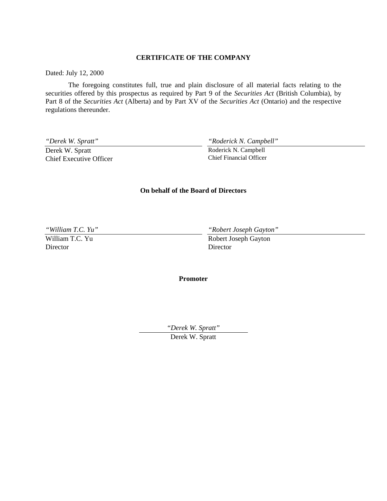# **CERTIFICATE OF THE COMPANY**

Dated: July 12, 2000

The foregoing constitutes full, true and plain disclosure of all material facts relating to the securities offered by this prospectus as required by Part 9 of the *Securities Act* (British Columbia), by Part 8 of the *Securities Act* (Alberta) and by Part XV of the *Securities Act* (Ontario) and the respective regulations thereunder.

*"Derek W. Spratt"*

Derek W. Spratt Chief Executive Officer *"Roderick N. Campbell"*

Roderick N. Campbell Chief Financial Officer

### **On behalf of the Board of Directors**

*"William T.C. Yu"*

William T.C. Yu Director

*"Robert Joseph Gayton"*

Robert Joseph Gayton Director

**Promoter**

*"Derek W. Spratt"*

Derek W. Spratt